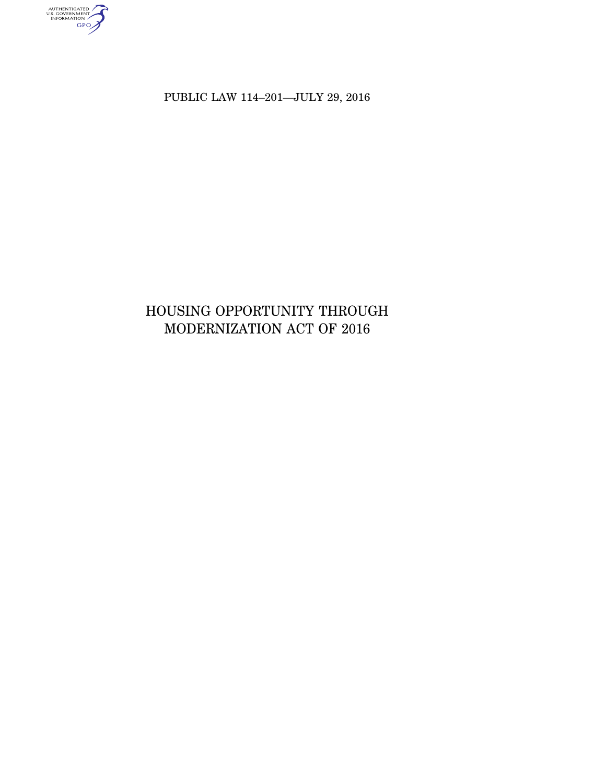AUTHENTICATED<br>U.S. GOVERNMENT<br>INFORMATION<br>GPO

PUBLIC LAW 114–201—JULY 29, 2016

# HOUSING OPPORTUNITY THROUGH MODERNIZATION ACT OF 2016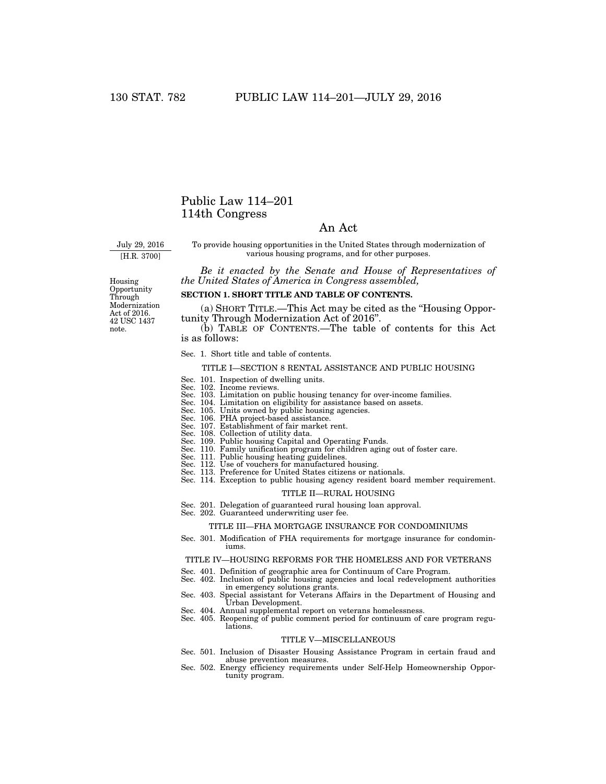### Public Law 114–201 114th Congress

### An Act

July 29, 2016

[H.R. 3700]

To provide housing opportunities in the United States through modernization of various housing programs, and for other purposes.

*Be it enacted by the Senate and House of Representatives of the United States of America in Congress assembled,* 

Housing Opportunity Through Modernization Act of 2016. 42 USC 1437 note.

### **SECTION 1. SHORT TITLE AND TABLE OF CONTENTS.**

(a) SHORT TITLE.—This Act may be cited as the ''Housing Opportunity Through Modernization Act of 2016''.

(b) TABLE OF CONTENTS.—The table of contents for this Act is as follows:

#### Sec. 1. Short title and table of contents.

### TITLE I—SECTION 8 RENTAL ASSISTANCE AND PUBLIC HOUSING

- Sec. 101. Inspection of dwelling units. Sec. 102. Income reviews.
- 
- Sec. 103. Limitation on public housing tenancy for over-income families. Sec. 104. Limitation on eligibility for assistance based on assets. Sec. 105. Units owned by public housing agencies.
- 
- 
- Sec. 106. PHA project-based assistance. Sec. 107. Establishment of fair market rent.
- 
- Sec. 108. Collection of utility data. Sec. 109. Public housing Capital and Operating Funds.
- Sec. 110. Family unification program for children aging out of foster care. Sec. 111. Public housing heating guidelines. Sec. 112. Use of vouchers for manufactured housing.
- 
- 
- Sec. 113. Preference for United States citizens or nationals.
- Sec. 114. Exception to public housing agency resident board member requirement.

### TITLE II—RURAL HOUSING

- Sec. 201. Delegation of guaranteed rural housing loan approval.
- Sec. 202. Guaranteed underwriting user fee.

### TITLE III—FHA MORTGAGE INSURANCE FOR CONDOMINIUMS

Sec. 301. Modification of FHA requirements for mortgage insurance for condominiums.

### TITLE IV—HOUSING REFORMS FOR THE HOMELESS AND FOR VETERANS

- 
- Sec. 401. Definition of geographic area for Continuum of Care Program. Sec. 402. Inclusion of public housing agencies and local redevelopment authorities in emergency solutions grants.
- Sec. 403. Special assistant for Veterans Affairs in the Department of Housing and Urban Development.
- Sec. 404. Annual supplemental report on veterans homelessness.
- Sec. 405. Reopening of public comment period for continuum of care program regulations.

### TITLE V—MISCELLANEOUS

- Sec. 501. Inclusion of Disaster Housing Assistance Program in certain fraud and abuse prevention measures.
- Sec. 502. Energy efficiency requirements under Self-Help Homeownership Opportunity program.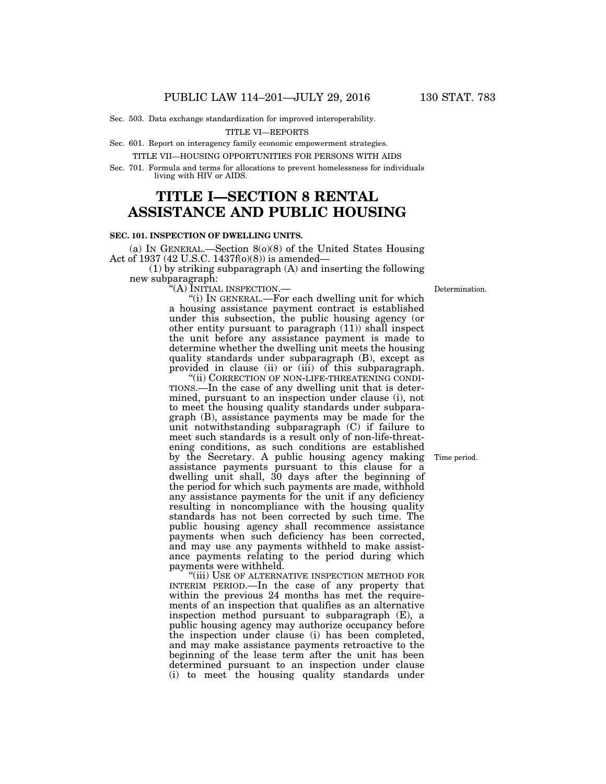Sec. 503. Data exchange standardization for improved interoperability.

TITLE VI—REPORTS

Sec. 601. Report on interagency family economic empowerment strategies.

TITLE VII—HOUSING OPPORTUNITIES FOR PERSONS WITH AIDS

Sec. 701. Formula and terms for allocations to prevent homelessness for individuals living with HIV or AIDS.

# **TITLE I—SECTION 8 RENTAL ASSISTANCE AND PUBLIC HOUSING**

### **SEC. 101. INSPECTION OF DWELLING UNITS.**

(a) IN GENERAL.—Section 8(o)(8) of the United States Housing Act of 1937 (42 U.S.C. 1437f(o)(8)) is amended—

(1) by striking subparagraph (A) and inserting the following new subparagraph:

''(A) INITIAL INSPECTION.—

''(i) IN GENERAL.—For each dwelling unit for which a housing assistance payment contract is established under this subsection, the public housing agency (or other entity pursuant to paragraph (11)) shall inspect the unit before any assistance payment is made to determine whether the dwelling unit meets the housing quality standards under subparagraph (B), except as provided in clause (ii) or (iii) of this subparagraph.

''(ii) CORRECTION OF NON-LIFE-THREATENING CONDI-TIONS.—In the case of any dwelling unit that is determined, pursuant to an inspection under clause (i), not to meet the housing quality standards under subparagraph (B), assistance payments may be made for the unit notwithstanding subparagraph (C) if failure to meet such standards is a result only of non-life-threatening conditions, as such conditions are established by the Secretary. A public housing agency making assistance payments pursuant to this clause for a dwelling unit shall, 30 days after the beginning of the period for which such payments are made, withhold any assistance payments for the unit if any deficiency resulting in noncompliance with the housing quality standards has not been corrected by such time. The public housing agency shall recommence assistance payments when such deficiency has been corrected, and may use any payments withheld to make assistance payments relating to the period during which payments were withheld.

"(iii) USE OF ALTERNATIVE INSPECTION METHOD FOR INTERIM PERIOD.—In the case of any property that within the previous 24 months has met the requirements of an inspection that qualifies as an alternative inspection method pursuant to subparagraph (E), a public housing agency may authorize occupancy before the inspection under clause (i) has been completed, and may make assistance payments retroactive to the beginning of the lease term after the unit has been determined pursuant to an inspection under clause (i) to meet the housing quality standards under

Time period.

**Determination**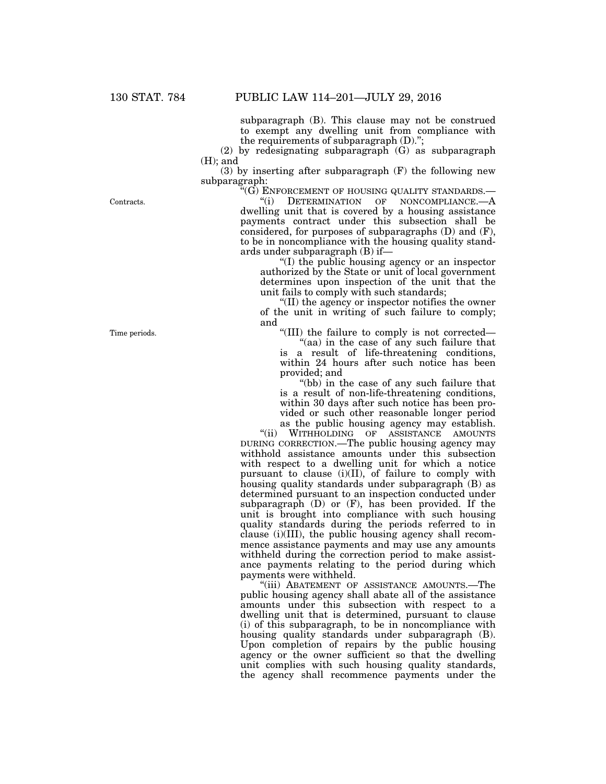subparagraph (B). This clause may not be construed to exempt any dwelling unit from compliance with the requirements of subparagraph (D).'';

(2) by redesignating subparagraph (G) as subparagraph (H); and

(3) by inserting after subparagraph (F) the following new subparagraph:

 $\overset{\cdot \alpha} G$ ) ENFORCEMENT OF HOUSING QUALITY STANDARDS.—<br> $\overset{\cdot \alpha} G$ ) DETERMINATION OF NONCOMPLIANCE.—A

''(i) DETERMINATION OF NONCOMPLIANCE.—A dwelling unit that is covered by a housing assistance payments contract under this subsection shall be considered, for purposes of subparagraphs (D) and (F), to be in noncompliance with the housing quality standards under subparagraph (B) if—

''(I) the public housing agency or an inspector authorized by the State or unit of local government determines upon inspection of the unit that the unit fails to comply with such standards;

''(II) the agency or inspector notifies the owner of the unit in writing of such failure to comply; and

''(III) the failure to comply is not corrected—

"(aa) in the case of any such failure that is a result of life-threatening conditions, within 24 hours after such notice has been provided; and

''(bb) in the case of any such failure that is a result of non-life-threatening conditions, within 30 days after such notice has been provided or such other reasonable longer period as the public housing agency may establish.<br>"(ii) WITHHOLDING OF ASSISTANCE AMOUNTS

WITHHOLDING OF ASSISTANCE AMOUNTS DURING CORRECTION.—The public housing agency may withhold assistance amounts under this subsection with respect to a dwelling unit for which a notice pursuant to clause (i)(II), of failure to comply with housing quality standards under subparagraph (B) as determined pursuant to an inspection conducted under subparagraph (D) or (F), has been provided. If the unit is brought into compliance with such housing quality standards during the periods referred to in clause (i)(III), the public housing agency shall recommence assistance payments and may use any amounts withheld during the correction period to make assistance payments relating to the period during which payments were withheld.

"(iii) ABATEMENT OF ASSISTANCE AMOUNTS.—The public housing agency shall abate all of the assistance amounts under this subsection with respect to a dwelling unit that is determined, pursuant to clause (i) of this subparagraph, to be in noncompliance with housing quality standards under subparagraph (B). Upon completion of repairs by the public housing agency or the owner sufficient so that the dwelling unit complies with such housing quality standards, the agency shall recommence payments under the

Contracts.

Time periods.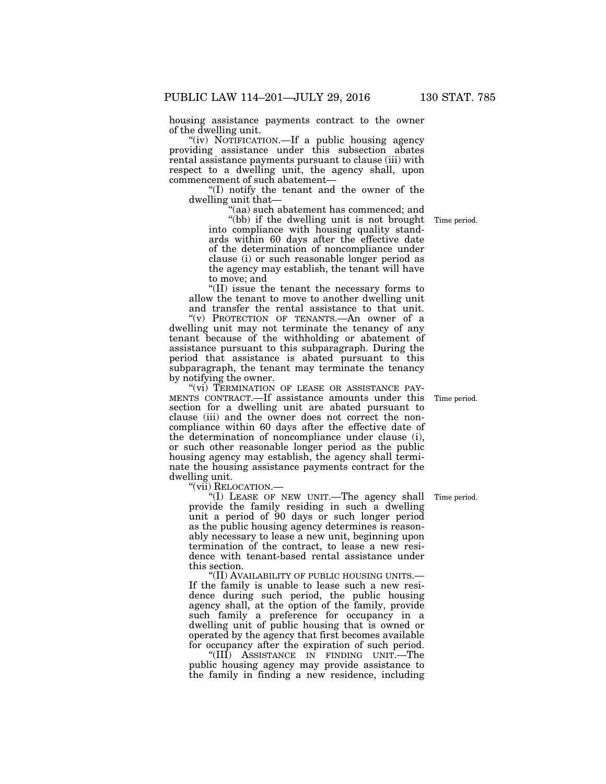housing assistance payments contract to the owner of the dwelling unit.

"(iv) NOTIFICATION.—If a public housing agency providing assistance under this subsection abates rental assistance payments pursuant to clause (iii) with respect to a dwelling unit, the agency shall, upon commencement of such abatement—

''(I) notify the tenant and the owner of the dwelling unit that—

''(aa) such abatement has commenced; and

''(bb) if the dwelling unit is not brought into compliance with housing quality standards within 60 days after the effective date of the determination of noncompliance under clause (i) or such reasonable longer period as the agency may establish, the tenant will have to move; and

''(II) issue the tenant the necessary forms to allow the tenant to move to another dwelling unit and transfer the rental assistance to that unit.

''(v) PROTECTION OF TENANTS.—An owner of a dwelling unit may not terminate the tenancy of any tenant because of the withholding or abatement of assistance pursuant to this subparagraph. During the period that assistance is abated pursuant to this subparagraph, the tenant may terminate the tenancy by notifying the owner.

"(vi) TERMINATION OF LEASE OR ASSISTANCE PAY-MENTS CONTRACT.—If assistance amounts under this section for a dwelling unit are abated pursuant to clause (iii) and the owner does not correct the noncompliance within 60 days after the effective date of the determination of noncompliance under clause (i), or such other reasonable longer period as the public housing agency may establish, the agency shall terminate the housing assistance payments contract for the dwelling unit.

''(vii) RELOCATION.—

"(I) LEASE OF NEW UNIT.—The agency shall Time period. provide the family residing in such a dwelling unit a period of 90 days or such longer period as the public housing agency determines is reasonably necessary to lease a new unit, beginning upon termination of the contract, to lease a new residence with tenant-based rental assistance under this section.

''(II) AVAILABILITY OF PUBLIC HOUSING UNITS.— If the family is unable to lease such a new residence during such period, the public housing agency shall, at the option of the family, provide such family a preference for occupancy in a dwelling unit of public housing that is owned or operated by the agency that first becomes available for occupancy after the expiration of such period.

''(III) ASSISTANCE IN FINDING UNIT.—The public housing agency may provide assistance to the family in finding a new residence, including

Time period.

Time period.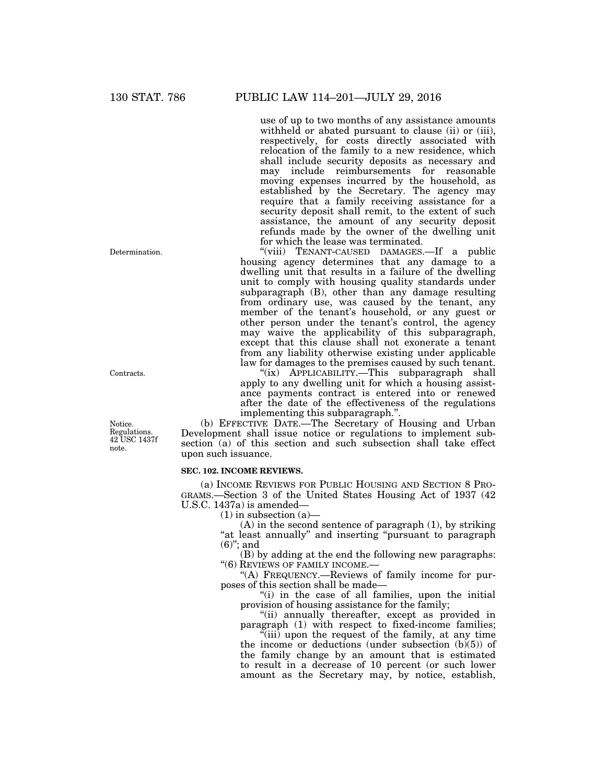use of up to two months of any assistance amounts withheld or abated pursuant to clause (ii) or (iii), respectively, for costs directly associated with relocation of the family to a new residence, which shall include security deposits as necessary and may include reimbursements for reasonable moving expenses incurred by the household, as established by the Secretary. The agency may require that a family receiving assistance for a security deposit shall remit, to the extent of such assistance, the amount of any security deposit refunds made by the owner of the dwelling unit for which the lease was terminated.

"(viii) TENANT-CAUSED DAMAGES.—If a public housing agency determines that any damage to a dwelling unit that results in a failure of the dwelling unit to comply with housing quality standards under subparagraph (B), other than any damage resulting from ordinary use, was caused by the tenant, any member of the tenant's household, or any guest or other person under the tenant's control, the agency may waive the applicability of this subparagraph, except that this clause shall not exonerate a tenant from any liability otherwise existing under applicable law for damages to the premises caused by such tenant.

''(ix) APPLICABILITY.—This subparagraph shall apply to any dwelling unit for which a housing assistance payments contract is entered into or renewed after the date of the effectiveness of the regulations implementing this subparagraph.''.

(b) EFFECTIVE DATE.—The Secretary of Housing and Urban Development shall issue notice or regulations to implement subsection (a) of this section and such subsection shall take effect upon such issuance.

### **SEC. 102. INCOME REVIEWS.**

(a) INCOME REVIEWS FOR PUBLIC HOUSING AND SECTION 8 PRO-GRAMS.—Section 3 of the United States Housing Act of 1937 (42 U.S.C. 1437a) is amended—

 $(1)$  in subsection  $(a)$ —

 $(A)$  in the second sentence of paragraph  $(1)$ , by striking "at least annually" and inserting "pursuant to paragraph (6)''; and

(B) by adding at the end the following new paragraphs: ''(6) REVIEWS OF FAMILY INCOME.—

''(A) FREQUENCY.—Reviews of family income for purposes of this section shall be made—

"(i) in the case of all families, upon the initial provision of housing assistance for the family;

"(ii) annually thereafter, except as provided in paragraph (1) with respect to fixed-income families;

''(iii) upon the request of the family, at any time the income or deductions (under subsection  $(b)(5)$ ) of the family change by an amount that is estimated to result in a decrease of 10 percent (or such lower amount as the Secretary may, by notice, establish,

Determination.

Contracts.

Notice. Regulations. 42 USC 1437f note.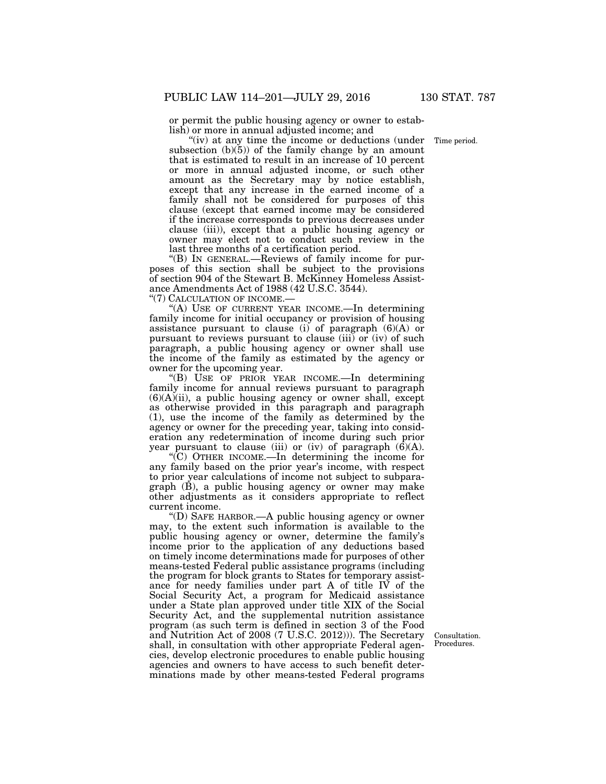or permit the public housing agency or owner to establish) or more in annual adjusted income; and

 $(iv)$  at any time the income or deductions (under subsection  $(b)(5)$  of the family change by an amount that is estimated to result in an increase of 10 percent or more in annual adjusted income, or such other amount as the Secretary may by notice establish, except that any increase in the earned income of a family shall not be considered for purposes of this clause (except that earned income may be considered if the increase corresponds to previous decreases under clause (iii)), except that a public housing agency or owner may elect not to conduct such review in the last three months of a certification period.

''(B) IN GENERAL.—Reviews of family income for purposes of this section shall be subject to the provisions of section 904 of the Stewart B. McKinney Homeless Assistance Amendments Act of 1988 (42 U.S.C. 3544).

''(7) CALCULATION OF INCOME.—

''(A) USE OF CURRENT YEAR INCOME.—In determining family income for initial occupancy or provision of housing assistance pursuant to clause (i) of paragraph  $(6)(A)$  or pursuant to reviews pursuant to clause (iii) or (iv) of such paragraph, a public housing agency or owner shall use the income of the family as estimated by the agency or owner for the upcoming year.

''(B) USE OF PRIOR YEAR INCOME.—In determining family income for annual reviews pursuant to paragraph  $(6)(A)(ii)$ , a public housing agency or owner shall, except as otherwise provided in this paragraph and paragraph (1), use the income of the family as determined by the agency or owner for the preceding year, taking into consideration any redetermination of income during such prior year pursuant to clause (iii) or (iv) of paragraph  $(\hat{6})(A)$ .

''(C) OTHER INCOME.—In determining the income for any family based on the prior year's income, with respect to prior year calculations of income not subject to subparagraph (B), a public housing agency or owner may make other adjustments as it considers appropriate to reflect current income.

''(D) SAFE HARBOR.—A public housing agency or owner may, to the extent such information is available to the public housing agency or owner, determine the family's income prior to the application of any deductions based on timely income determinations made for purposes of other means-tested Federal public assistance programs (including the program for block grants to States for temporary assistance for needy families under part A of title IV of the Social Security Act, a program for Medicaid assistance under a State plan approved under title XIX of the Social Security Act, and the supplemental nutrition assistance program (as such term is defined in section 3 of the Food and Nutrition Act of 2008 (7 U.S.C. 2012))). The Secretary shall, in consultation with other appropriate Federal agencies, develop electronic procedures to enable public housing agencies and owners to have access to such benefit determinations made by other means-tested Federal programs

Consultation. Procedures.

Time period.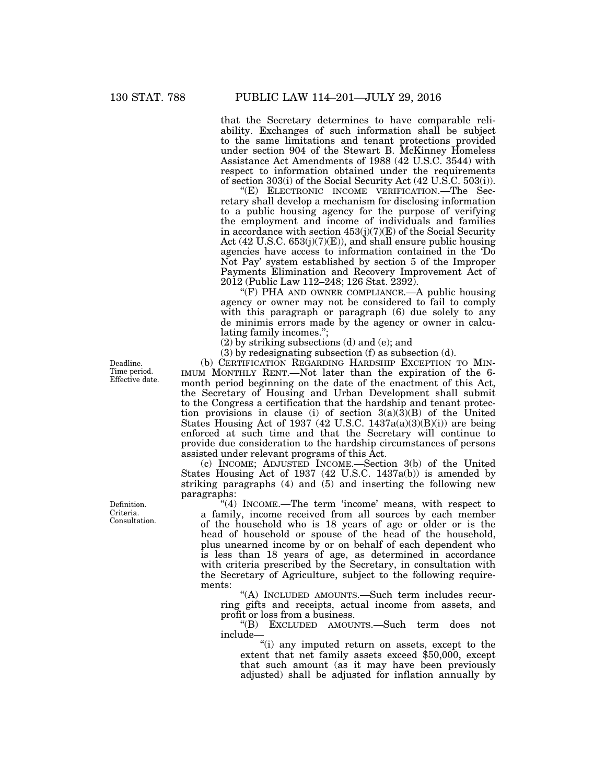that the Secretary determines to have comparable reliability. Exchanges of such information shall be subject to the same limitations and tenant protections provided under section 904 of the Stewart B. McKinney Homeless Assistance Act Amendments of 1988 (42 U.S.C. 3544) with respect to information obtained under the requirements of section 303(i) of the Social Security Act (42 U.S.C. 503(i)).

''(E) ELECTRONIC INCOME VERIFICATION.—The Secretary shall develop a mechanism for disclosing information to a public housing agency for the purpose of verifying the employment and income of individuals and families in accordance with section  $453(j)(7)(E)$  of the Social Security Act (42 U.S.C. 653(j)(7)(E)), and shall ensure public housing agencies have access to information contained in the 'Do Not Pay' system established by section 5 of the Improper Payments Elimination and Recovery Improvement Act of 2012 (Public Law 112–248; 126 Stat. 2392).

''(F) PHA AND OWNER COMPLIANCE.—A public housing agency or owner may not be considered to fail to comply with this paragraph or paragraph (6) due solely to any de minimis errors made by the agency or owner in calculating family incomes.'';

(2) by striking subsections (d) and (e); and

(3) by redesignating subsection (f) as subsection (d).

(b) CERTIFICATION REGARDING HARDSHIP EXCEPTION TO MIN-IMUM MONTHLY RENT.—Not later than the expiration of the 6 month period beginning on the date of the enactment of this Act, the Secretary of Housing and Urban Development shall submit to the Congress a certification that the hardship and tenant protection provisions in clause (i) of section  $3(a)(\overline{3})(B)$  of the United States Housing Act of 1937 (42 U.S.C. 1437a(a)(3)(B)(i)) are being enforced at such time and that the Secretary will continue to provide due consideration to the hardship circumstances of persons assisted under relevant programs of this Act.

(c) INCOME; ADJUSTED INCOME.—Section 3(b) of the United States Housing Act of 1937 (42 U.S.C. 1437a(b)) is amended by striking paragraphs (4) and (5) and inserting the following new paragraphs:

"(4) INCOME.—The term 'income' means, with respect to a family, income received from all sources by each member of the household who is 18 years of age or older or is the head of household or spouse of the head of the household, plus unearned income by or on behalf of each dependent who is less than 18 years of age, as determined in accordance with criteria prescribed by the Secretary, in consultation with the Secretary of Agriculture, subject to the following requirements:

''(A) INCLUDED AMOUNTS.—Such term includes recurring gifts and receipts, actual income from assets, and profit or loss from a business.

''(B) EXCLUDED AMOUNTS.—Such term does not include—

''(i) any imputed return on assets, except to the extent that net family assets exceed \$50,000, except that such amount (as it may have been previously adjusted) shall be adjusted for inflation annually by

Deadline. Time period. Effective date.

Definition. Criteria. Consultation.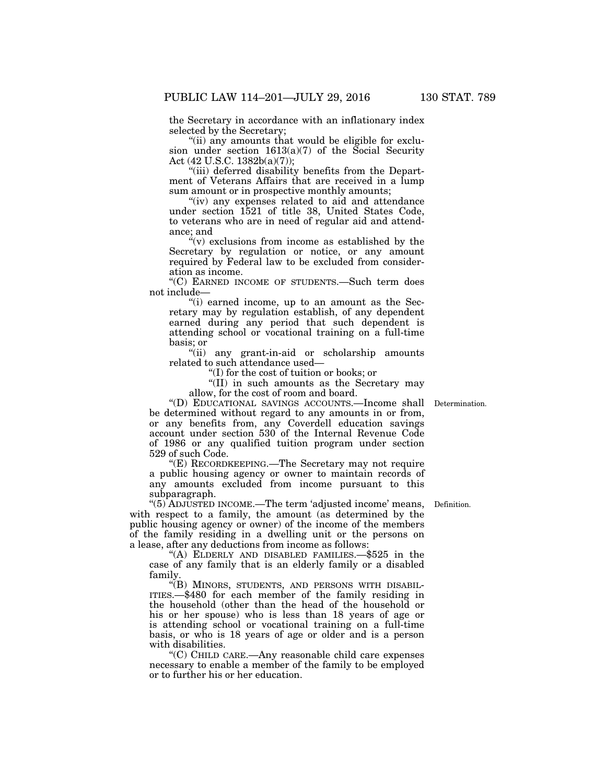the Secretary in accordance with an inflationary index selected by the Secretary;

''(ii) any amounts that would be eligible for exclusion under section  $1613(a)(7)$  of the Social Security Act (42 U.S.C. 1382b(a)(7));

''(iii) deferred disability benefits from the Department of Veterans Affairs that are received in a lump sum amount or in prospective monthly amounts;

"(iv) any expenses related to aid and attendance under section 1521 of title 38, United States Code, to veterans who are in need of regular aid and attendance; and

" $(v)$  exclusions from income as established by the Secretary by regulation or notice, or any amount required by Federal law to be excluded from consideration as income.

''(C) EARNED INCOME OF STUDENTS.—Such term does not include—

''(i) earned income, up to an amount as the Secretary may by regulation establish, of any dependent earned during any period that such dependent is attending school or vocational training on a full-time basis; or

''(ii) any grant-in-aid or scholarship amounts related to such attendance used—

''(I) for the cost of tuition or books; or

''(II) in such amounts as the Secretary may allow, for the cost of room and board.

''(D) EDUCATIONAL SAVINGS ACCOUNTS.—Income shall Determination. be determined without regard to any amounts in or from, or any benefits from, any Coverdell education savings account under section 530 of the Internal Revenue Code of 1986 or any qualified tuition program under section 529 of such Code.

''(E) RECORDKEEPING.—The Secretary may not require a public housing agency or owner to maintain records of any amounts excluded from income pursuant to this subparagraph.

''(5) ADJUSTED INCOME.—The term 'adjusted income' means, with respect to a family, the amount (as determined by the public housing agency or owner) of the income of the members of the family residing in a dwelling unit or the persons on a lease, after any deductions from income as follows:

''(A) ELDERLY AND DISABLED FAMILIES.—\$525 in the case of any family that is an elderly family or a disabled family.

"(B) MINORS, STUDENTS, AND PERSONS WITH DISABIL-ITIES.—\$480 for each member of the family residing in the household (other than the head of the household or his or her spouse) who is less than 18 years of age or is attending school or vocational training on a full-time basis, or who is 18 years of age or older and is a person with disabilities.

''(C) CHILD CARE.—Any reasonable child care expenses necessary to enable a member of the family to be employed or to further his or her education.

Definition.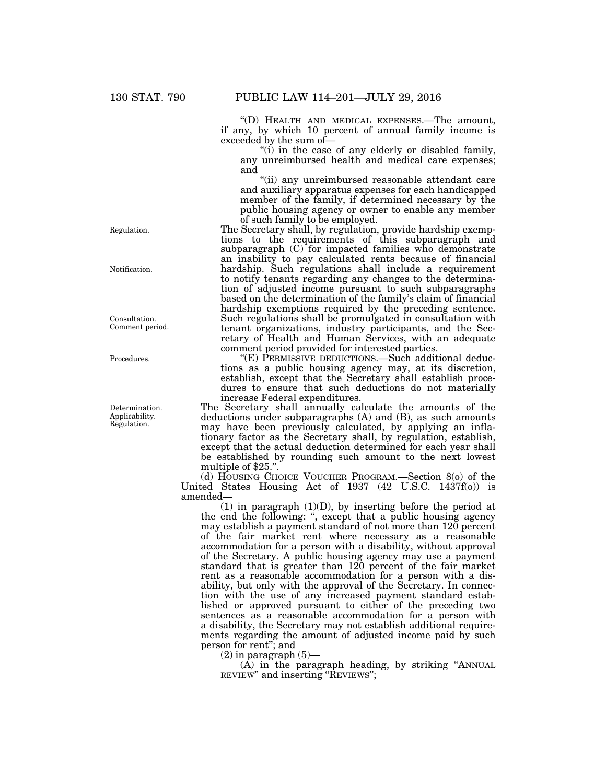''(D) HEALTH AND MEDICAL EXPENSES.—The amount, if any, by which 10 percent of annual family income is exceeded by the sum of—

"(i) in the case of any elderly or disabled family, any unreimbursed health and medical care expenses; and

''(ii) any unreimbursed reasonable attendant care and auxiliary apparatus expenses for each handicapped member of the family, if determined necessary by the public housing agency or owner to enable any member of such family to be employed.

The Secretary shall, by regulation, provide hardship exemptions to the requirements of this subparagraph and subparagraph (C) for impacted families who demonstrate an inability to pay calculated rents because of financial hardship. Such regulations shall include a requirement to notify tenants regarding any changes to the determination of adjusted income pursuant to such subparagraphs based on the determination of the family's claim of financial hardship exemptions required by the preceding sentence. Such regulations shall be promulgated in consultation with tenant organizations, industry participants, and the Secretary of Health and Human Services, with an adequate comment period provided for interested parties.

''(E) PERMISSIVE DEDUCTIONS.—Such additional deductions as a public housing agency may, at its discretion, establish, except that the Secretary shall establish procedures to ensure that such deductions do not materially increase Federal expenditures.

The Secretary shall annually calculate the amounts of the deductions under subparagraphs (A) and (B), as such amounts may have been previously calculated, by applying an inflationary factor as the Secretary shall, by regulation, establish, except that the actual deduction determined for each year shall be established by rounding such amount to the next lowest multiple of \$25.".

(d) HOUSING CHOICE VOUCHER PROGRAM.—Section 8(o) of the United States Housing Act of 1937 (42 U.S.C. 1437f(o)) is amended—

(1) in paragraph (1)(D), by inserting before the period at the end the following: '', except that a public housing agency may establish a payment standard of not more than 120 percent of the fair market rent where necessary as a reasonable accommodation for a person with a disability, without approval of the Secretary. A public housing agency may use a payment standard that is greater than 120 percent of the fair market rent as a reasonable accommodation for a person with a disability, but only with the approval of the Secretary. In connection with the use of any increased payment standard established or approved pursuant to either of the preceding two sentences as a reasonable accommodation for a person with a disability, the Secretary may not establish additional requirements regarding the amount of adjusted income paid by such person for rent''; and

 $(2)$  in paragraph  $(5)$ —

 $(A)$  in the paragraph heading, by striking "ANNUAL REVIEW" and inserting "REVIEWS";

Regulation.

Notification.

Consultation. Comment period.

Procedures.

Determination. Applicability. Regulation.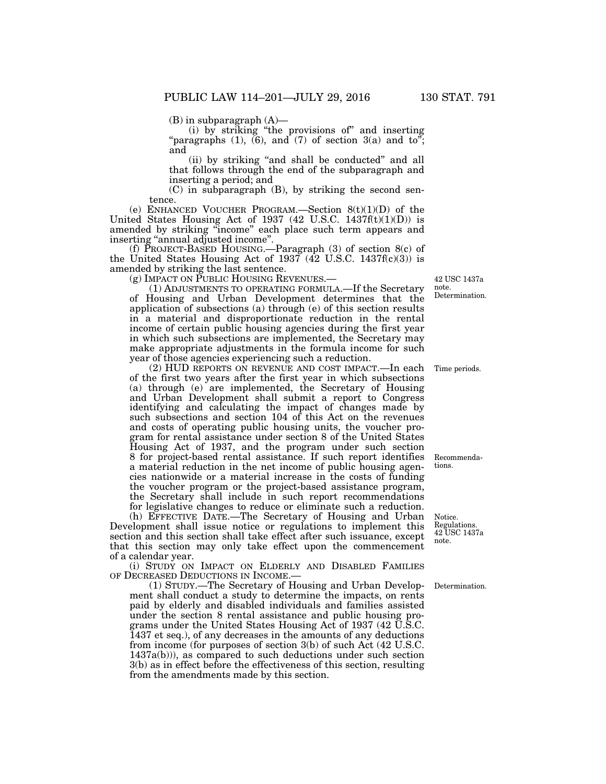(B) in subparagraph (A)—

(i) by striking ''the provisions of'' and inserting "paragraphs  $(1)$ ,  $(6)$ , and  $(7)$  of section  $3(a)$  and to"; and

(ii) by striking "and shall be conducted" and all that follows through the end of the subparagraph and inserting a period; and

(C) in subparagraph (B), by striking the second sentence.

(e) ENHANCED VOUCHER PROGRAM.—Section  $8(t)(1)(D)$  of the United States Housing Act of 1937 (42 U.S.C. 1437 $f(t)(1)(D)$ ) is amended by striking ''income'' each place such term appears and inserting ''annual adjusted income''.

(f) PROJECT-BASED HOUSING.—Paragraph (3) of section 8(c) of the United States Housing Act of 1937  $(42 \text{ U.S.C. } 1437f(c)(3))$  is amended by striking the last sentence.

(g) IMPACT ON PUBLIC HOUSING REVENUES.—

(1) ADJUSTMENTS TO OPERATING FORMULA.—If the Secretary of Housing and Urban Development determines that the application of subsections (a) through (e) of this section results in a material and disproportionate reduction in the rental income of certain public housing agencies during the first year in which such subsections are implemented, the Secretary may make appropriate adjustments in the formula income for such year of those agencies experiencing such a reduction.

(2) HUD REPORTS ON REVENUE AND COST IMPACT.—In each of the first two years after the first year in which subsections (a) through (e) are implemented, the Secretary of Housing and Urban Development shall submit a report to Congress identifying and calculating the impact of changes made by such subsections and section 104 of this Act on the revenues and costs of operating public housing units, the voucher program for rental assistance under section 8 of the United States Housing Act of 1937, and the program under such section 8 for project-based rental assistance. If such report identifies a material reduction in the net income of public housing agencies nationwide or a material increase in the costs of funding the voucher program or the project-based assistance program, the Secretary shall include in such report recommendations for legislative changes to reduce or eliminate such a reduction.

(h) EFFECTIVE DATE.—The Secretary of Housing and Urban Development shall issue notice or regulations to implement this section and this section shall take effect after such issuance, except that this section may only take effect upon the commencement of a calendar year.

(i) STUDY ON IMPACT ON ELDERLY AND DISABLED FAMILIES OF DECREASED DEDUCTIONS IN INCOME.

(1) STUDY.—The Secretary of Housing and Urban Development shall conduct a study to determine the impacts, on rents paid by elderly and disabled individuals and families assisted under the section 8 rental assistance and public housing programs under the United States Housing Act of 1937 (42 U.S.C. 1437 et seq.), of any decreases in the amounts of any deductions from income (for purposes of section 3(b) of such Act (42 U.S.C. 1437a(b))), as compared to such deductions under such section 3(b) as in effect before the effectiveness of this section, resulting from the amendments made by this section.

42 USC 1437a note. Determination.

Time periods.

Recommendations.

Notice. Regulations. 42 USC 1437a note.

Determination.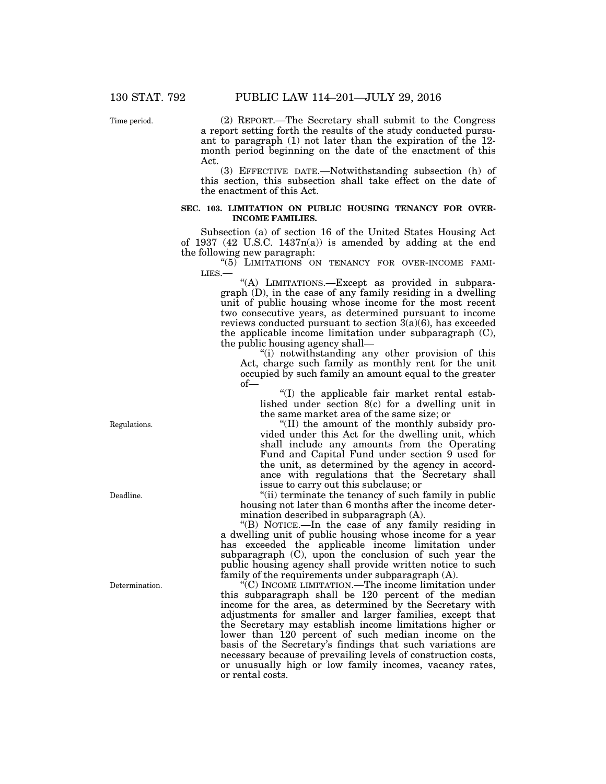Time period.

(2) REPORT.—The Secretary shall submit to the Congress a report setting forth the results of the study conducted pursuant to paragraph (1) not later than the expiration of the 12 month period beginning on the date of the enactment of this Act.

(3) EFFECTIVE DATE.—Notwithstanding subsection (h) of this section, this subsection shall take effect on the date of the enactment of this Act.

### **SEC. 103. LIMITATION ON PUBLIC HOUSING TENANCY FOR OVER-INCOME FAMILIES.**

Subsection (a) of section 16 of the United States Housing Act of 1937 (42 U.S.C. 1437 $n(a)$ ) is amended by adding at the end the following new paragraph:

"(5) LIMITATIONS ON TENANCY FOR OVER-INCOME FAMI-LIES.—

"(A) LIMITATIONS.-Except as provided in subparagraph (D), in the case of any family residing in a dwelling unit of public housing whose income for the most recent two consecutive years, as determined pursuant to income reviews conducted pursuant to section  $3(a)(6)$ , has exceeded the applicable income limitation under subparagraph (C), the public housing agency shall—

"(i) notwithstanding any other provision of this Act, charge such family as monthly rent for the unit occupied by such family an amount equal to the greater of—

''(I) the applicable fair market rental established under section 8(c) for a dwelling unit in the same market area of the same size; or

''(II) the amount of the monthly subsidy provided under this Act for the dwelling unit, which shall include any amounts from the Operating Fund and Capital Fund under section 9 used for the unit, as determined by the agency in accordance with regulations that the Secretary shall issue to carry out this subclause; or

"(ii) terminate the tenancy of such family in public housing not later than 6 months after the income determination described in subparagraph (A).

''(B) NOTICE.—In the case of any family residing in a dwelling unit of public housing whose income for a year has exceeded the applicable income limitation under subparagraph (C), upon the conclusion of such year the public housing agency shall provide written notice to such family of the requirements under subparagraph (A).

''(C) INCOME LIMITATION.—The income limitation under this subparagraph shall be 120 percent of the median income for the area, as determined by the Secretary with adjustments for smaller and larger families, except that the Secretary may establish income limitations higher or lower than 120 percent of such median income on the basis of the Secretary's findings that such variations are necessary because of prevailing levels of construction costs, or unusually high or low family incomes, vacancy rates, or rental costs.

Regulations.

Deadline.

Determination.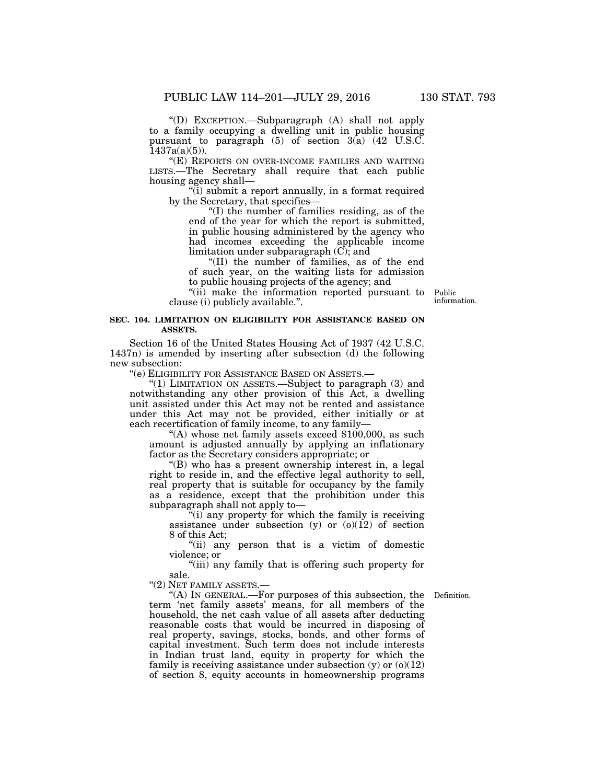''(D) EXCEPTION.—Subparagraph (A) shall not apply to a family occupying a dwelling unit in public housing pursuant to paragraph (5) of section 3(a) (42 U.S.C.  $1437a(a)(5)$ ).

''(E) REPORTS ON OVER-INCOME FAMILIES AND WAITING LISTS.—The Secretary shall require that each public housing agency shall—

''(i) submit a report annually, in a format required by the Secretary, that specifies—

''(I) the number of families residing, as of the end of the year for which the report is submitted, in public housing administered by the agency who had incomes exceeding the applicable income limitation under subparagraph  $(C)$ ; and

''(II) the number of families, as of the end of such year, on the waiting lists for admission to public housing projects of the agency; and

''(ii) make the information reported pursuant to clause (i) publicly available.''.

information.

Public

### **SEC. 104. LIMITATION ON ELIGIBILITY FOR ASSISTANCE BASED ON ASSETS.**

Section 16 of the United States Housing Act of 1937 (42 U.S.C. 1437n) is amended by inserting after subsection (d) the following new subsection:

''(e) ELIGIBILITY FOR ASSISTANCE BASED ON ASSETS.—

''(1) LIMITATION ON ASSETS.—Subject to paragraph (3) and notwithstanding any other provision of this Act, a dwelling unit assisted under this Act may not be rented and assistance under this Act may not be provided, either initially or at each recertification of family income, to any family—

"(A) whose net family assets exceed  $$100,000$ , as such amount is adjusted annually by applying an inflationary factor as the Secretary considers appropriate; or

''(B) who has a present ownership interest in, a legal right to reside in, and the effective legal authority to sell, real property that is suitable for occupancy by the family as a residence, except that the prohibition under this subparagraph shall not apply to—

''(i) any property for which the family is receiving assistance under subsection  $(y)$  or  $(0)(12)$  of section 8 of this Act;

''(ii) any person that is a victim of domestic violence; or

''(iii) any family that is offering such property for sale. "(2) NET FAMILY ASSETS.-

Definition.

''(A) IN GENERAL.—For purposes of this subsection, the term 'net family assets' means, for all members of the household, the net cash value of all assets after deducting reasonable costs that would be incurred in disposing of real property, savings, stocks, bonds, and other forms of capital investment. Such term does not include interests in Indian trust land, equity in property for which the family is receiving assistance under subsection  $(y)$  or  $(0)(12)$ of section 8, equity accounts in homeownership programs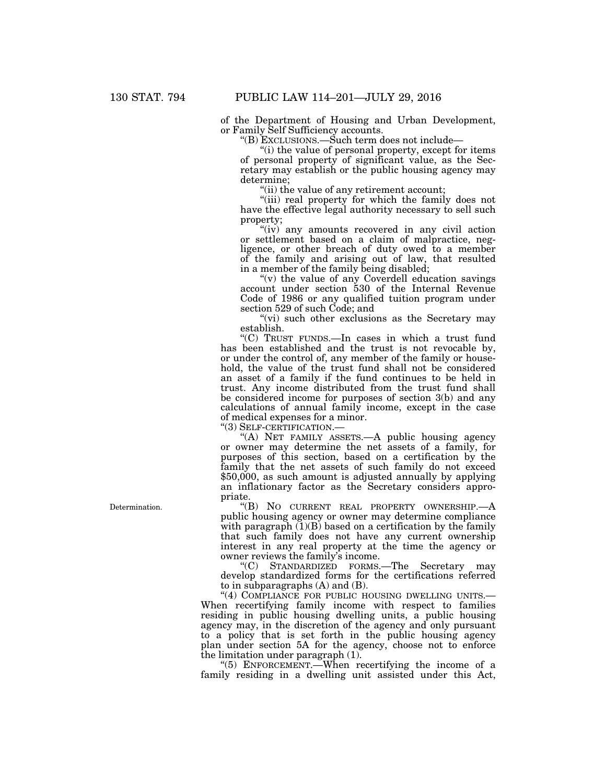of the Department of Housing and Urban Development, or Family Self Sufficiency accounts.

''(B) EXCLUSIONS.—Such term does not include—

"(i) the value of personal property, except for items of personal property of significant value, as the Secretary may establish or the public housing agency may determine;

"(ii) the value of any retirement account;

"(iii) real property for which the family does not have the effective legal authority necessary to sell such property;

"(iv) any amounts recovered in any civil action or settlement based on a claim of malpractice, negligence, or other breach of duty owed to a member of the family and arising out of law, that resulted in a member of the family being disabled;

"(v) the value of any Coverdell education savings" account under section 530 of the Internal Revenue Code of 1986 or any qualified tuition program under section 529 of such Code; and

"(vi) such other exclusions as the Secretary may establish.

''(C) TRUST FUNDS.—In cases in which a trust fund has been established and the trust is not revocable by, or under the control of, any member of the family or household, the value of the trust fund shall not be considered an asset of a family if the fund continues to be held in trust. Any income distributed from the trust fund shall be considered income for purposes of section 3(b) and any calculations of annual family income, except in the case of medical expenses for a minor.

''(3) SELF-CERTIFICATION.—

"(A) NET FAMILY ASSETS.- A public housing agency or owner may determine the net assets of a family, for purposes of this section, based on a certification by the family that the net assets of such family do not exceed \$50,000, as such amount is adjusted annually by applying an inflationary factor as the Secretary considers appropriate.

''(B) NO CURRENT REAL PROPERTY OWNERSHIP.—A public housing agency or owner may determine compliance with paragraph  $(1)(B)$  based on a certification by the family that such family does not have any current ownership interest in any real property at the time the agency or owner reviews the family's income.

''(C) STANDARDIZED FORMS.—The Secretary may develop standardized forms for the certifications referred to in subparagraphs (A) and (B).

"(4) COMPLIANCE FOR PUBLIC HOUSING DWELLING UNITS.-When recertifying family income with respect to families residing in public housing dwelling units, a public housing agency may, in the discretion of the agency and only pursuant to a policy that is set forth in the public housing agency plan under section 5A for the agency, choose not to enforce the limitation under paragraph (1).

''(5) ENFORCEMENT.—When recertifying the income of a family residing in a dwelling unit assisted under this Act,

Determination.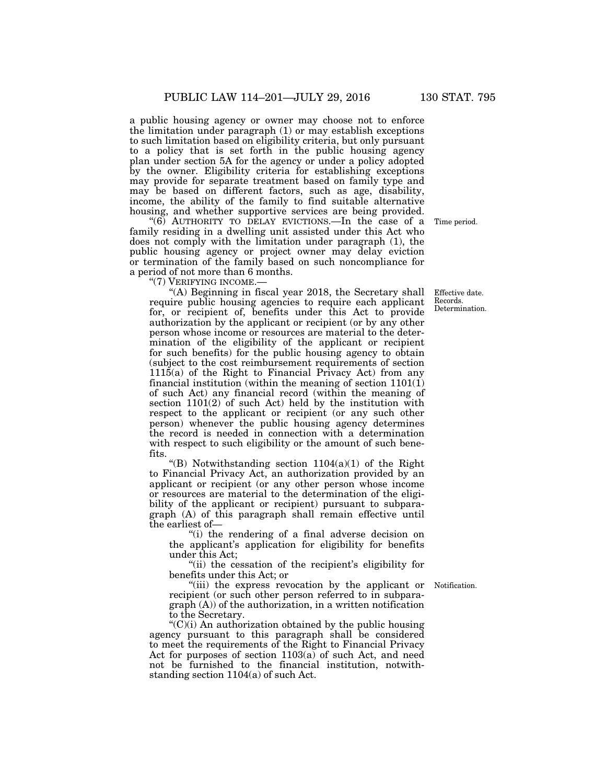a public housing agency or owner may choose not to enforce the limitation under paragraph (1) or may establish exceptions to such limitation based on eligibility criteria, but only pursuant to a policy that is set forth in the public housing agency plan under section 5A for the agency or under a policy adopted by the owner. Eligibility criteria for establishing exceptions may provide for separate treatment based on family type and may be based on different factors, such as age, disability, income, the ability of the family to find suitable alternative housing, and whether supportive services are being provided.

"(6) AUTHORITY TO DELAY EVICTIONS.—In the case of a family residing in a dwelling unit assisted under this Act who does not comply with the limitation under paragraph (1), the public housing agency or project owner may delay eviction or termination of the family based on such noncompliance for a period of not more than 6 months.

"(7) VERIFYING INCOME.-

"(A) Beginning in fiscal year 2018, the Secretary shall require public housing agencies to require each applicant for, or recipient of, benefits under this Act to provide authorization by the applicant or recipient (or by any other person whose income or resources are material to the determination of the eligibility of the applicant or recipient for such benefits) for the public housing agency to obtain (subject to the cost reimbursement requirements of section 1115(a) of the Right to Financial Privacy Act) from any financial institution (within the meaning of section  $1101(1)$ ) of such Act) any financial record (within the meaning of section 1101(2) of such Act) held by the institution with respect to the applicant or recipient (or any such other person) whenever the public housing agency determines the record is needed in connection with a determination with respect to such eligibility or the amount of such benefits.

''(B) Notwithstanding section 1104(a)(1) of the Right to Financial Privacy Act, an authorization provided by an applicant or recipient (or any other person whose income or resources are material to the determination of the eligibility of the applicant or recipient) pursuant to subparagraph (A) of this paragraph shall remain effective until the earliest of—

''(i) the rendering of a final adverse decision on the applicant's application for eligibility for benefits under this Act;

"(ii) the cessation of the recipient's eligibility for benefits under this Act; or

Notification.

''(iii) the express revocation by the applicant or recipient (or such other person referred to in subparagraph (A)) of the authorization, in a written notification to the Secretary.

''(C)(i) An authorization obtained by the public housing agency pursuant to this paragraph shall be considered to meet the requirements of the Right to Financial Privacy Act for purposes of section  $1103(a)$  of such Act, and need not be furnished to the financial institution, notwithstanding section 1104(a) of such Act.

Time period.

Effective date. Records. Determination.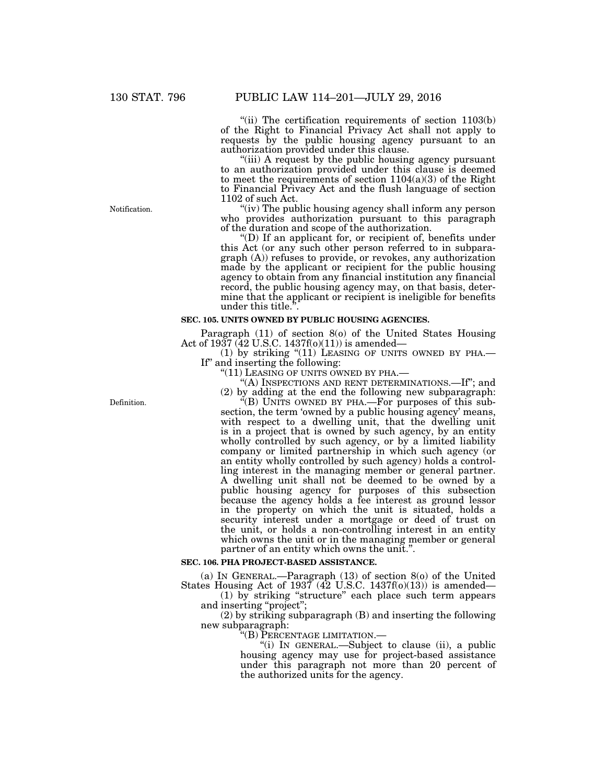"(ii) The certification requirements of section  $1103(b)$ of the Right to Financial Privacy Act shall not apply to requests by the public housing agency pursuant to an authorization provided under this clause.

"(iii) A request by the public housing agency pursuant to an authorization provided under this clause is deemed to meet the requirements of section  $1104(a)(3)$  of the Right to Financial Privacy Act and the flush language of section 1102 of such Act.

"(iv) The public housing agency shall inform any person who provides authorization pursuant to this paragraph of the duration and scope of the authorization.

''(D) If an applicant for, or recipient of, benefits under this Act (or any such other person referred to in subparagraph (A)) refuses to provide, or revokes, any authorization made by the applicant or recipient for the public housing agency to obtain from any financial institution any financial record, the public housing agency may, on that basis, determine that the applicant or recipient is ineligible for benefits under this title."

### **SEC. 105. UNITS OWNED BY PUBLIC HOUSING AGENCIES.**

Paragraph (11) of section 8(o) of the United States Housing Act of 1937 (42 U.S.C. 1437f(o)(11)) is amended—

(1) by striking "(11) LEASING OF UNITS OWNED BY PHA.— If" and inserting the following:<br>"(11) LEASING OF UNITS OWNED BY PHA.—

"(A) INSPECTIONS AND RENT DETERMINATIONS.—If"; and (2) by adding at the end the following new subparagraph:

''(B) UNITS OWNED BY PHA.—For purposes of this subsection, the term 'owned by a public housing agency' means, with respect to a dwelling unit, that the dwelling unit is in a project that is owned by such agency, by an entity wholly controlled by such agency, or by a limited liability company or limited partnership in which such agency (or an entity wholly controlled by such agency) holds a controlling interest in the managing member or general partner. A dwelling unit shall not be deemed to be owned by a public housing agency for purposes of this subsection because the agency holds a fee interest as ground lessor in the property on which the unit is situated, holds a security interest under a mortgage or deed of trust on the unit, or holds a non-controlling interest in an entity which owns the unit or in the managing member or general partner of an entity which owns the unit.''.

### **SEC. 106. PHA PROJECT-BASED ASSISTANCE.**

(a) IN GENERAL.—Paragraph (13) of section 8(o) of the United States Housing Act of 1937 (42 U.S.C. 1437f(o)(13)) is amended—

(1) by striking ''structure'' each place such term appears and inserting ''project'';

(2) by striking subparagraph (B) and inserting the following new subparagraph:

''(B) PERCENTAGE LIMITATION.—

''(i) IN GENERAL.—Subject to clause (ii), a public housing agency may use for project-based assistance under this paragraph not more than 20 percent of the authorized units for the agency.

Notification.

Definition.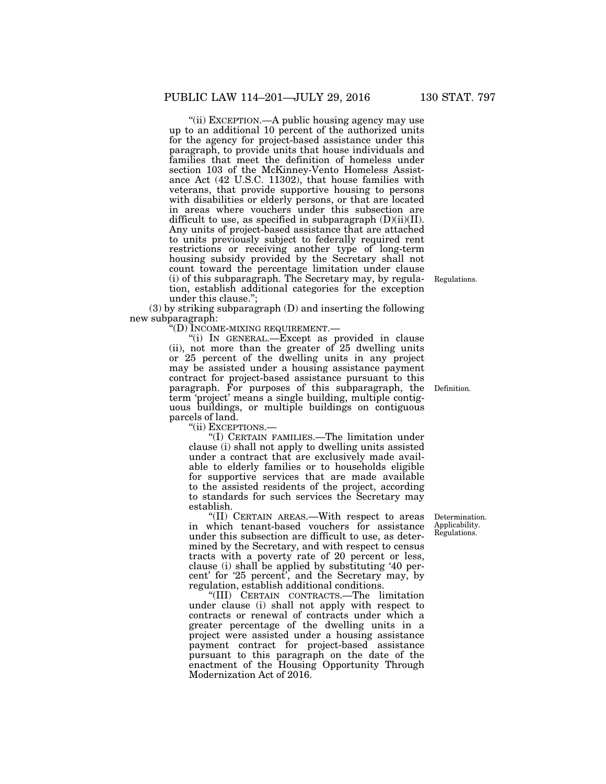''(ii) EXCEPTION.—A public housing agency may use up to an additional 10 percent of the authorized units for the agency for project-based assistance under this paragraph, to provide units that house individuals and families that meet the definition of homeless under section 103 of the McKinney-Vento Homeless Assistance Act (42 U.S.C. 11302), that house families with veterans, that provide supportive housing to persons with disabilities or elderly persons, or that are located in areas where vouchers under this subsection are difficult to use, as specified in subparagraph (D)(ii)(II). Any units of project-based assistance that are attached to units previously subject to federally required rent restrictions or receiving another type of long-term housing subsidy provided by the Secretary shall not count toward the percentage limitation under clause (i) of this subparagraph. The Secretary may, by regulation, establish additional categories for the exception under this clause.'';

(3) by striking subparagraph (D) and inserting the following new subparagraph:

''(D) INCOME-MIXING REQUIREMENT.—

''(i) IN GENERAL.—Except as provided in clause (ii), not more than the greater of 25 dwelling units or 25 percent of the dwelling units in any project may be assisted under a housing assistance payment contract for project-based assistance pursuant to this paragraph. For purposes of this subparagraph, the Definition. term 'project' means a single building, multiple contiguous buildings, or multiple buildings on contiguous parcels of land.

''(ii) EXCEPTIONS.—

''(I) CERTAIN FAMILIES.—The limitation under clause (i) shall not apply to dwelling units assisted under a contract that are exclusively made available to elderly families or to households eligible for supportive services that are made available to the assisted residents of the project, according to standards for such services the Secretary may establish.

''(II) CERTAIN AREAS.—With respect to areas in which tenant-based vouchers for assistance under this subsection are difficult to use, as determined by the Secretary, and with respect to census tracts with a poverty rate of 20 percent or less, clause (i) shall be applied by substituting '40 percent' for '25 percent', and the Secretary may, by regulation, establish additional conditions.

''(III) CERTAIN CONTRACTS.—The limitation under clause (i) shall not apply with respect to contracts or renewal of contracts under which a greater percentage of the dwelling units in a project were assisted under a housing assistance payment contract for project-based assistance pursuant to this paragraph on the date of the enactment of the Housing Opportunity Through Modernization Act of 2016.

Determination. Applicability. Regulations.

Regulations.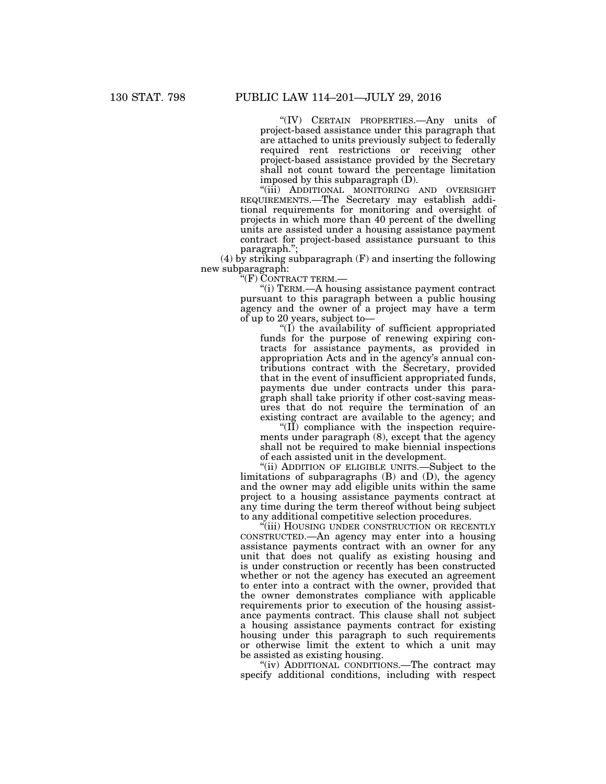''(IV) CERTAIN PROPERTIES.—Any units of project-based assistance under this paragraph that are attached to units previously subject to federally required rent restrictions or receiving other project-based assistance provided by the Secretary shall not count toward the percentage limitation imposed by this subparagraph (D).

"(iii) ADDITIONAL MONITORING AND OVERSIGHT REQUIREMENTS.—The Secretary may establish additional requirements for monitoring and oversight of projects in which more than 40 percent of the dwelling units are assisted under a housing assistance payment contract for project-based assistance pursuant to this paragraph.'';

(4) by striking subparagraph (F) and inserting the following new subparagraph:

'(F) CONTRACT TERM.—

''(i) TERM.—A housing assistance payment contract pursuant to this paragraph between a public housing agency and the owner of a project may have a term of up to 20 years, subject to—

 $\mathrm{H}(I)$  the availability of sufficient appropriated funds for the purpose of renewing expiring contracts for assistance payments, as provided in appropriation Acts and in the agency's annual contributions contract with the Secretary, provided that in the event of insufficient appropriated funds, payments due under contracts under this paragraph shall take priority if other cost-saving measures that do not require the termination of an existing contract are available to the agency; and

 $\sqrt[4]{(II)}$  compliance with the inspection requirements under paragraph (8), except that the agency shall not be required to make biennial inspections of each assisted unit in the development.

"(ii) ADDITION OF ELIGIBLE UNITS.—Subject to the limitations of subparagraphs (B) and (D), the agency and the owner may add eligible units within the same project to a housing assistance payments contract at any time during the term thereof without being subject to any additional competitive selection procedures.

''(iii) HOUSING UNDER CONSTRUCTION OR RECENTLY CONSTRUCTED.—An agency may enter into a housing assistance payments contract with an owner for any unit that does not qualify as existing housing and is under construction or recently has been constructed whether or not the agency has executed an agreement to enter into a contract with the owner, provided that the owner demonstrates compliance with applicable requirements prior to execution of the housing assistance payments contract. This clause shall not subject a housing assistance payments contract for existing housing under this paragraph to such requirements or otherwise limit the extent to which a unit may be assisted as existing housing.

"(iv) ADDITIONAL CONDITIONS.—The contract may specify additional conditions, including with respect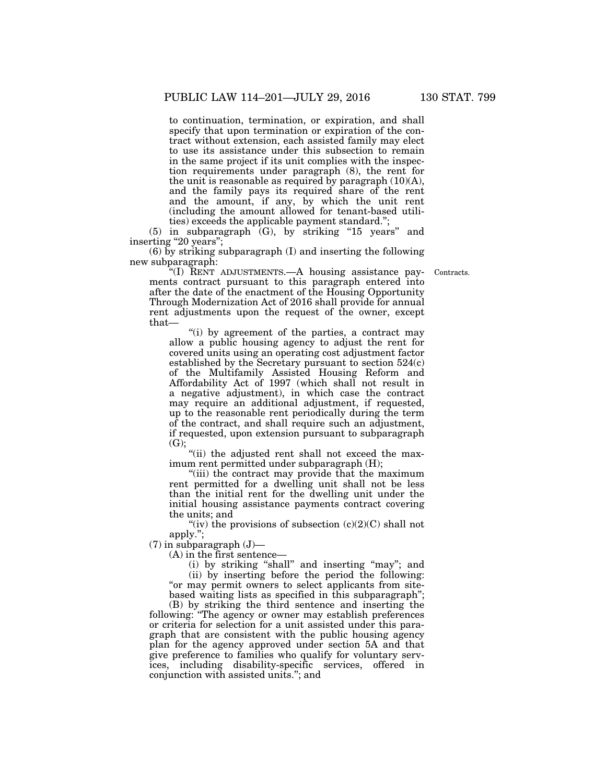to continuation, termination, or expiration, and shall specify that upon termination or expiration of the contract without extension, each assisted family may elect to use its assistance under this subsection to remain in the same project if its unit complies with the inspection requirements under paragraph (8), the rent for the unit is reasonable as required by paragraph  $(10)(A)$ , and the family pays its required share of the rent and the amount, if any, by which the unit rent (including the amount allowed for tenant-based utilities) exceeds the applicable payment standard.'';

 $(5)$  in subparagraph  $(G)$ , by striking "15 years" and inserting "20 years";

(6) by striking subparagraph (I) and inserting the following new subparagraph:

Contracts.

''(I) RENT ADJUSTMENTS.—A housing assistance payments contract pursuant to this paragraph entered into after the date of the enactment of the Housing Opportunity Through Modernization Act of 2016 shall provide for annual rent adjustments upon the request of the owner, except that—

''(i) by agreement of the parties, a contract may allow a public housing agency to adjust the rent for covered units using an operating cost adjustment factor established by the Secretary pursuant to section  $524(c)$ of the Multifamily Assisted Housing Reform and Affordability Act of 1997 (which shall not result in a negative adjustment), in which case the contract may require an additional adjustment, if requested, up to the reasonable rent periodically during the term of the contract, and shall require such an adjustment, if requested, upon extension pursuant to subparagraph (G);

"(ii) the adjusted rent shall not exceed the maximum rent permitted under subparagraph (H);

''(iii) the contract may provide that the maximum rent permitted for a dwelling unit shall not be less than the initial rent for the dwelling unit under the initial housing assistance payments contract covering the units; and

"(iv) the provisions of subsection  $(c)(2)(C)$  shall not apply.'';

 $(7)$  in subparagraph  $(J)$ —

(A) in the first sentence—

(i) by striking ''shall'' and inserting ''may''; and (ii) by inserting before the period the following: "or may permit owners to select applicants from sitebased waiting lists as specified in this subparagraph'';

(B) by striking the third sentence and inserting the following: ''The agency or owner may establish preferences or criteria for selection for a unit assisted under this paragraph that are consistent with the public housing agency plan for the agency approved under section 5A and that give preference to families who qualify for voluntary services, including disability-specific services, offered in conjunction with assisted units.''; and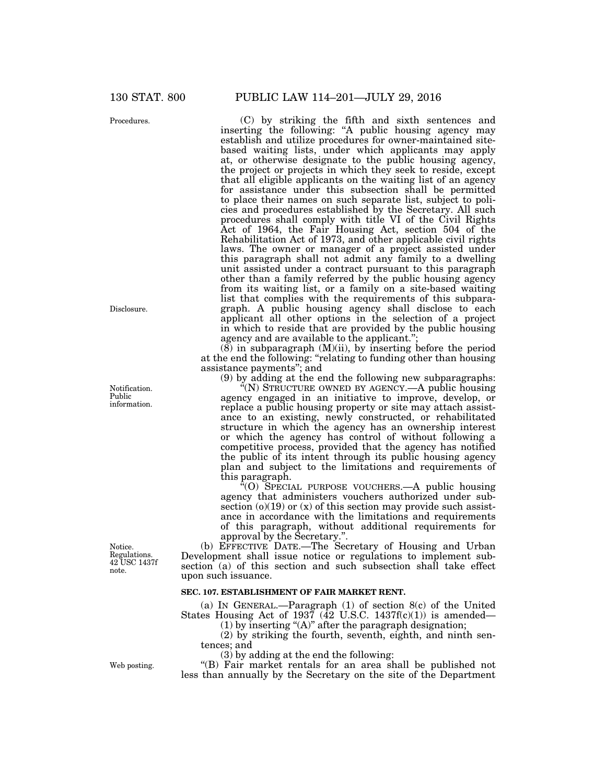Procedures.

Disclosure.

Notification. Public information.

Notice. Regulations. 42 USC 1437f note.

(b) EFFECTIVE DATE.—The Secretary of Housing and Urban Development shall issue notice or regulations to implement subsection (a) of this section and such subsection shall take effect upon such issuance.

### **SEC. 107. ESTABLISHMENT OF FAIR MARKET RENT.**

(a) IN GENERAL.—Paragraph (1) of section 8(c) of the United States Housing Act of 1937 ( $\overline{42}$  U.S.C. 1437f(c)(1)) is amended—

 $(1)$  by inserting " $(A)$ " after the paragraph designation;

(2) by striking the fourth, seventh, eighth, and ninth sentences; and

(3) by adding at the end the following:

"(B) Fair market rentals for an area shall be published not less than annually by the Secretary on the site of the Department

130 STAT. 800 PUBLIC LAW 114–201—JULY 29, 2016

(C) by striking the fifth and sixth sentences and inserting the following: ''A public housing agency may establish and utilize procedures for owner-maintained sitebased waiting lists, under which applicants may apply at, or otherwise designate to the public housing agency, the project or projects in which they seek to reside, except that all eligible applicants on the waiting list of an agency for assistance under this subsection shall be permitted to place their names on such separate list, subject to policies and procedures established by the Secretary. All such procedures shall comply with title VI of the Civil Rights Act of 1964, the Fair Housing Act, section 504 of the Rehabilitation Act of 1973, and other applicable civil rights laws. The owner or manager of a project assisted under this paragraph shall not admit any family to a dwelling unit assisted under a contract pursuant to this paragraph other than a family referred by the public housing agency from its waiting list, or a family on a site-based waiting list that complies with the requirements of this subparagraph. A public housing agency shall disclose to each applicant all other options in the selection of a project in which to reside that are provided by the public housing agency and are available to the applicant.'';

(8) in subparagraph (M)(ii), by inserting before the period at the end the following: ''relating to funding other than housing assistance payments''; and

(9) by adding at the end the following new subparagraphs:

 $(N)$  STRUCTURE OWNED BY AGENCY.—A public housing agency engaged in an initiative to improve, develop, or replace a public housing property or site may attach assistance to an existing, newly constructed, or rehabilitated structure in which the agency has an ownership interest or which the agency has control of without following a competitive process, provided that the agency has notified the public of its intent through its public housing agency plan and subject to the limitations and requirements of this paragraph.

''(O) SPECIAL PURPOSE VOUCHERS.—A public housing agency that administers vouchers authorized under subsection  $(o)(19)$  or  $(x)$  of this section may provide such assistance in accordance with the limitations and requirements of this paragraph, without additional requirements for approval by the Secretary.''.

Web posting.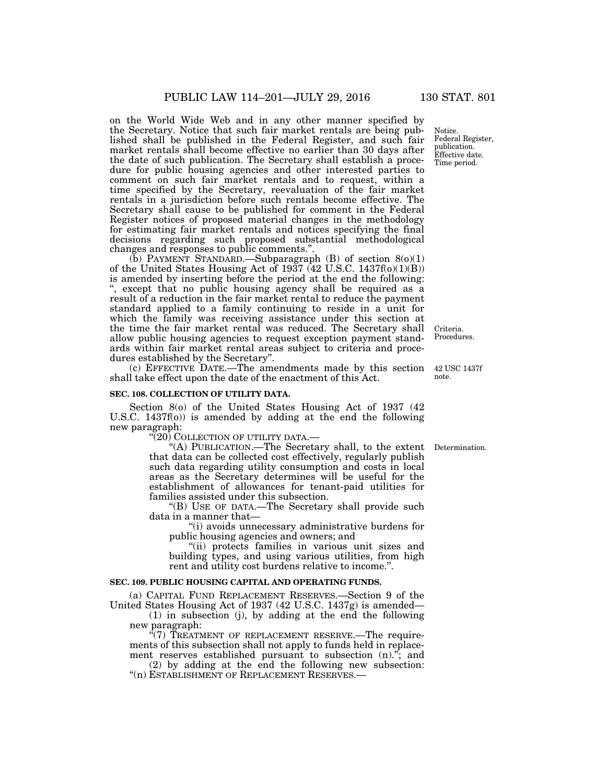on the World Wide Web and in any other manner specified by the Secretary. Notice that such fair market rentals are being published shall be published in the Federal Register, and such fair market rentals shall become effective no earlier than 30 days after the date of such publication. The Secretary shall establish a procedure for public housing agencies and other interested parties to comment on such fair market rentals and to request, within a time specified by the Secretary, reevaluation of the fair market rentals in a jurisdiction before such rentals become effective. The Secretary shall cause to be published for comment in the Federal Register notices of proposed material changes in the methodology for estimating fair market rentals and notices specifying the final decisions regarding such proposed substantial methodological changes and responses to public comments.''.

 $(b)$  PAYMENT STANDARD.—Subparagraph (B) of section  $8(0)(1)$ of the United States Housing Act of 1937 (42 U.S.C. 1437f(o)(1)(B)) is amended by inserting before the period at the end the following: ; except that no public housing agency shall be required as a result of a reduction in the fair market rental to reduce the payment standard applied to a family continuing to reside in a unit for which the family was receiving assistance under this section at the time the fair market rental was reduced. The Secretary shall allow public housing agencies to request exception payment standards within fair market rental areas subject to criteria and procedures established by the Secretary''.

(c) EFFECTIVE DATE.—The amendments made by this section 42 USC 1437f shall take effect upon the date of the enactment of this Act.

### **SEC. 108. COLLECTION OF UTILITY DATA.**

Section 8(o) of the United States Housing Act of 1937 (42 U.S.C. 1437f(o)) is amended by adding at the end the following new paragraph:

''(20) COLLECTION OF UTILITY DATA.—

''(A) PUBLICATION.—The Secretary shall, to the extent Determination. that data can be collected cost effectively, regularly publish such data regarding utility consumption and costs in local areas as the Secretary determines will be useful for the establishment of allowances for tenant-paid utilities for families assisted under this subsection.

''(B) USE OF DATA.—The Secretary shall provide such data in a manner that—

''(i) avoids unnecessary administrative burdens for public housing agencies and owners; and

''(ii) protects families in various unit sizes and building types, and using various utilities, from high rent and utility cost burdens relative to income.''.

#### **SEC. 109. PUBLIC HOUSING CAPITAL AND OPERATING FUNDS.**

(a) CAPITAL FUND REPLACEMENT RESERVES.—Section 9 of the United States Housing Act of 1937 (42 U.S.C. 1437g) is amended—

(1) in subsection (j), by adding at the end the following new paragraph:

 $\sqrt{7}$ ) TREATMENT OF REPLACEMENT RESERVE.—The requirements of this subsection shall not apply to funds held in replacement reserves established pursuant to subsection (n).<sup>"</sup>; and

(2) by adding at the end the following new subsection: "(n) ESTABLISHMENT OF REPLACEMENT RESERVES.-

Notice. Federal Register, publication. Effective date. Time period.

Criteria. Procedures.

note.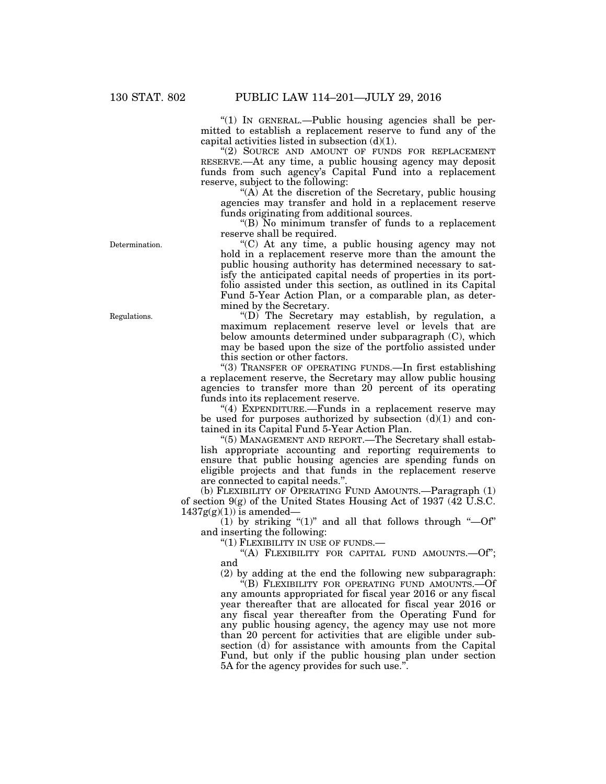''(1) IN GENERAL.—Public housing agencies shall be permitted to establish a replacement reserve to fund any of the capital activities listed in subsection  $(d)(1)$ .

''(2) SOURCE AND AMOUNT OF FUNDS FOR REPLACEMENT RESERVE.—At any time, a public housing agency may deposit funds from such agency's Capital Fund into a replacement reserve, subject to the following:

"(A) At the discretion of the Secretary, public housing agencies may transfer and hold in a replacement reserve funds originating from additional sources.

''(B) No minimum transfer of funds to a replacement reserve shall be required.

''(C) At any time, a public housing agency may not hold in a replacement reserve more than the amount the public housing authority has determined necessary to satisfy the anticipated capital needs of properties in its portfolio assisted under this section, as outlined in its Capital Fund 5-Year Action Plan, or a comparable plan, as determined by the Secretary.

''(D) The Secretary may establish, by regulation, a maximum replacement reserve level or levels that are below amounts determined under subparagraph (C), which may be based upon the size of the portfolio assisted under this section or other factors.

''(3) TRANSFER OF OPERATING FUNDS.—In first establishing a replacement reserve, the Secretary may allow public housing agencies to transfer more than 20 percent of its operating funds into its replacement reserve.

"(4) EXPENDITURE.—Funds in a replacement reserve may be used for purposes authorized by subsection  $(d)(1)$  and contained in its Capital Fund 5-Year Action Plan.

''(5) MANAGEMENT AND REPORT.—The Secretary shall establish appropriate accounting and reporting requirements to ensure that public housing agencies are spending funds on eligible projects and that funds in the replacement reserve are connected to capital needs.''.

(b) FLEXIBILITY OF OPERATING FUND AMOUNTS.—Paragraph (1) of section 9(g) of the United States Housing Act of 1937 (42 U.S.C.  $1437g(g)(1)$ ) is amended-

 $(1)$  by striking " $(1)$ " and all that follows through " $-0f$ " and inserting the following:

''(1) FLEXIBILITY IN USE OF FUNDS.—

''(A) FLEXIBILITY FOR CAPITAL FUND AMOUNTS.—Of''; and

(2) by adding at the end the following new subparagraph:

"(B) FLEXIBILITY FOR OPERATING FUND AMOUNTS.—Of any amounts appropriated for fiscal year 2016 or any fiscal year thereafter that are allocated for fiscal year 2016 or any fiscal year thereafter from the Operating Fund for any public housing agency, the agency may use not more than 20 percent for activities that are eligible under subsection (d) for assistance with amounts from the Capital Fund, but only if the public housing plan under section 5A for the agency provides for such use.''.

Determination.

Regulations.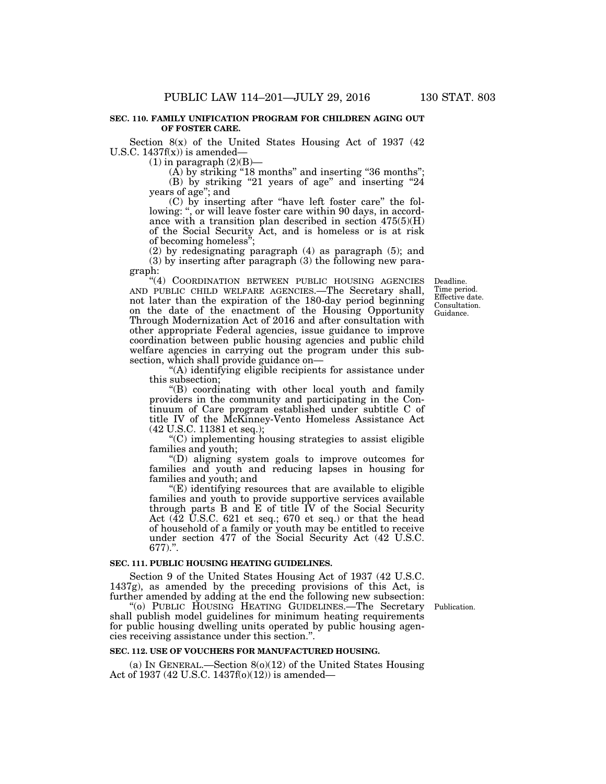### **SEC. 110. FAMILY UNIFICATION PROGRAM FOR CHILDREN AGING OUT OF FOSTER CARE.**

Section  $8(x)$  of the United States Housing Act of 1937 (42) U.S.C.  $1437f(x)$  is amended—

 $(1)$  in paragraph  $(2)(B)$ —

(A) by striking "18 months" and inserting "36 months";

(B) by striking "21 years of age" and inserting "24 years of age''; and

(C) by inserting after ''have left foster care'' the following: ", or will leave foster care within 90 days, in accordance with a transition plan described in section 475(5)(H) of the Social Security Act, and is homeless or is at risk of becoming homeless'';

(2) by redesignating paragraph (4) as paragraph (5); and (3) by inserting after paragraph (3) the following new para-

graph:

"(4) COORDINATION BETWEEN PUBLIC HOUSING AGENCIES AND PUBLIC CHILD WELFARE AGENCIES.—The Secretary shall, not later than the expiration of the 180-day period beginning on the date of the enactment of the Housing Opportunity Through Modernization Act of 2016 and after consultation with other appropriate Federal agencies, issue guidance to improve coordination between public housing agencies and public child welfare agencies in carrying out the program under this subsection, which shall provide guidance on—

''(A) identifying eligible recipients for assistance under this subsection;

''(B) coordinating with other local youth and family providers in the community and participating in the Continuum of Care program established under subtitle C of title IV of the McKinney-Vento Homeless Assistance Act (42 U.S.C. 11381 et seq.);

''(C) implementing housing strategies to assist eligible families and youth;

''(D) aligning system goals to improve outcomes for families and youth and reducing lapses in housing for families and youth; and

''(E) identifying resources that are available to eligible families and youth to provide supportive services available through parts B and E of title IV of the Social Security Act  $(42 \text{ }\mathbf{U}.\mathbf{S}.\mathbf{C}.\mathbf{6}21$  et seq.; 670 et seq.) or that the head of household of a family or youth may be entitled to receive under section 477 of the Social Security Act (42 U.S.C. 677).''.

### **SEC. 111. PUBLIC HOUSING HEATING GUIDELINES.**

Section 9 of the United States Housing Act of 1937 (42 U.S.C. 1437g), as amended by the preceding provisions of this Act, is further amended by adding at the end the following new subsection:

Publication.

''(o) PUBLIC HOUSING HEATING GUIDELINES.—The Secretary shall publish model guidelines for minimum heating requirements for public housing dwelling units operated by public housing agencies receiving assistance under this section.''.

#### **SEC. 112. USE OF VOUCHERS FOR MANUFACTURED HOUSING.**

(a) IN GENERAL.—Section 8(o)(12) of the United States Housing Act of 1937 (42 U.S.C. 1437f(o)(12)) is amended—

Deadline. Time period. Effective date. Consultation. Guidance.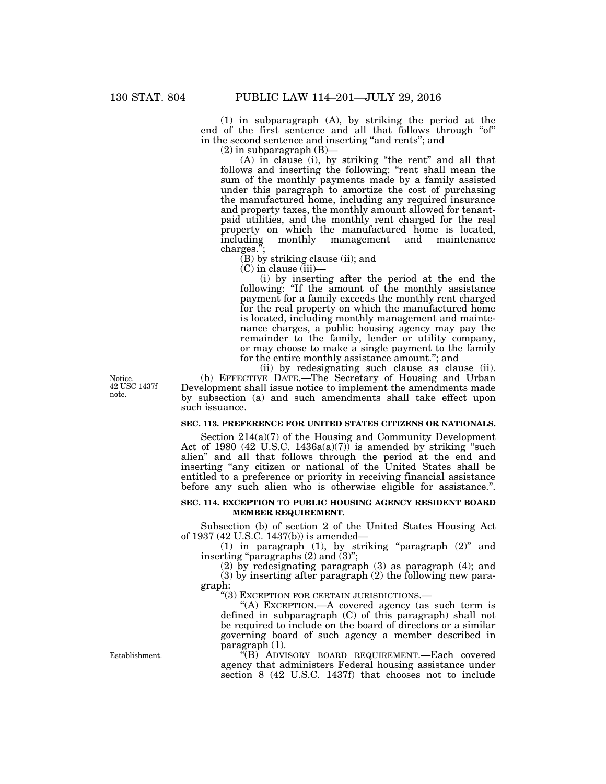(1) in subparagraph (A), by striking the period at the end of the first sentence and all that follows through "of" in the second sentence and inserting ''and rents''; and

 $(2)$  in subparagraph  $(B)$ —

(A) in clause (i), by striking ''the rent'' and all that follows and inserting the following: "rent shall mean the sum of the monthly payments made by a family assisted under this paragraph to amortize the cost of purchasing the manufactured home, including any required insurance and property taxes, the monthly amount allowed for tenantpaid utilities, and the monthly rent charged for the real property on which the manufactured home is located, including monthly management and maintenance charges.

 $(B)$  by striking clause (ii); and

 $(C)$  in clause  $(iii)$ —

(i) by inserting after the period at the end the following: "If the amount of the monthly assistance payment for a family exceeds the monthly rent charged for the real property on which the manufactured home is located, including monthly management and maintenance charges, a public housing agency may pay the remainder to the family, lender or utility company, or may choose to make a single payment to the family for the entire monthly assistance amount.''; and

(ii) by redesignating such clause as clause (ii).

(b) EFFECTIVE DATE.—The Secretary of Housing and Urban Development shall issue notice to implement the amendments made by subsection (a) and such amendments shall take effect upon such issuance.

### **SEC. 113. PREFERENCE FOR UNITED STATES CITIZENS OR NATIONALS.**

Section 214(a)(7) of the Housing and Community Development Act of 1980 (42 U.S.C. 1436a(a)(7)) is amended by striking "such alien'' and all that follows through the period at the end and inserting "any citizen or national of the United States shall be entitled to a preference or priority in receiving financial assistance before any such alien who is otherwise eligible for assistance.''.

### **SEC. 114. EXCEPTION TO PUBLIC HOUSING AGENCY RESIDENT BOARD MEMBER REQUIREMENT.**

Subsection (b) of section 2 of the United States Housing Act of 1937 (42 U.S.C. 1437(b)) is amended—

(1) in paragraph (1), by striking "paragraph  $(2)$ " and inserting "paragraphs  $(2)$  and  $(3)$ ";

(2) by redesignating paragraph (3) as paragraph (4); and (3) by inserting after paragraph (2) the following new paragraph:

''(3) EXCEPTION FOR CERTAIN JURISDICTIONS.—

''(A) EXCEPTION.—A covered agency (as such term is defined in subparagraph (C) of this paragraph) shall not be required to include on the board of directors or a similar governing board of such agency a member described in paragraph (1).

''(B) ADVISORY BOARD REQUIREMENT.—Each covered agency that administers Federal housing assistance under section 8 (42 U.S.C. 1437f) that chooses not to include

Notice. 42 USC 1437f note.

Establishment.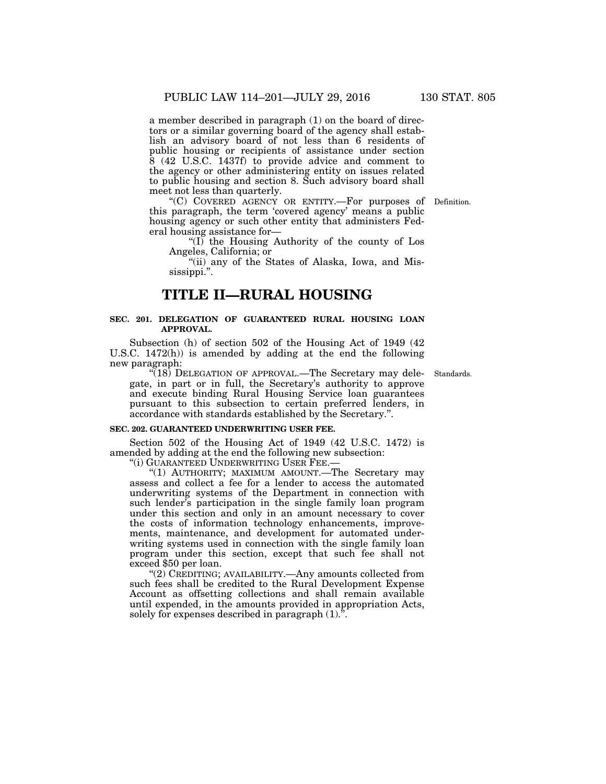a member described in paragraph (1) on the board of directors or a similar governing board of the agency shall establish an advisory board of not less than 6 residents of public housing or recipients of assistance under section 8 (42 U.S.C. 1437f) to provide advice and comment to the agency or other administering entity on issues related to public housing and section 8. Such advisory board shall meet not less than quarterly.

"(C) COVERED AGENCY OR ENTITY.—For purposes of Definition. this paragraph, the term 'covered agency' means a public housing agency or such other entity that administers Federal housing assistance for—

''(I) the Housing Authority of the county of Los Angeles, California; or

"(ii) any of the States of Alaska, Iowa, and Mississippi.''.

### **TITLE II—RURAL HOUSING**

### **SEC. 201. DELEGATION OF GUARANTEED RURAL HOUSING LOAN APPROVAL.**

Subsection (h) of section 502 of the Housing Act of 1949 (42 U.S.C. 1472(h)) is amended by adding at the end the following new paragraph:

Standards.

"(18) DELEGATION OF APPROVAL.—The Secretary may delegate, in part or in full, the Secretary's authority to approve and execute binding Rural Housing Service loan guarantees pursuant to this subsection to certain preferred lenders, in accordance with standards established by the Secretary.''.

### **SEC. 202. GUARANTEED UNDERWRITING USER FEE.**

Section 502 of the Housing Act of 1949 (42 U.S.C. 1472) is amended by adding at the end the following new subsection:

''(i) GUARANTEED UNDERWRITING USER FEE.—

"(1) AUTHORITY; MAXIMUM AMOUNT. The Secretary may assess and collect a fee for a lender to access the automated underwriting systems of the Department in connection with such lender's participation in the single family loan program under this section and only in an amount necessary to cover the costs of information technology enhancements, improvements, maintenance, and development for automated underwriting systems used in connection with the single family loan program under this section, except that such fee shall not exceed \$50 per loan.

''(2) CREDITING; AVAILABILITY.—Any amounts collected from such fees shall be credited to the Rural Development Expense Account as offsetting collections and shall remain available until expended, in the amounts provided in appropriation Acts, solely for expenses described in paragraph (1).''.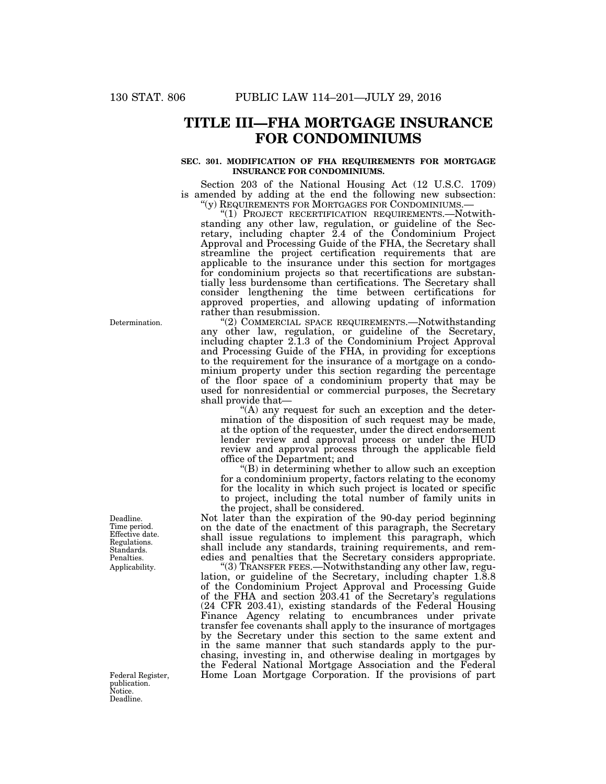## **TITLE III—FHA MORTGAGE INSURANCE FOR CONDOMINIUMS**

### **SEC. 301. MODIFICATION OF FHA REQUIREMENTS FOR MORTGAGE INSURANCE FOR CONDOMINIUMS.**

Section 203 of the National Housing Act (12 U.S.C. 1709) is amended by adding at the end the following new subsection: " $(y)$  REQUIREMENTS FOR MORTGAGES FOR CONDOMINIUMS.—

''(y) REQUIREMENTS FOR MORTGAGES FOR CONDOMINIUMS.— ''(1) PROJECT RECERTIFICATION REQUIREMENTS.—Notwithstanding any other law, regulation, or guideline of the Secretary, including chapter 2.4 of the Condominium Project Approval and Processing Guide of the FHA, the Secretary shall streamline the project certification requirements that are applicable to the insurance under this section for mortgages for condominium projects so that recertifications are substantially less burdensome than certifications. The Secretary shall consider lengthening the time between certifications for approved properties, and allowing updating of information rather than resubmission.

''(2) COMMERCIAL SPACE REQUIREMENTS.—Notwithstanding any other law, regulation, or guideline of the Secretary, including chapter 2.1.3 of the Condominium Project Approval and Processing Guide of the FHA, in providing for exceptions to the requirement for the insurance of a mortgage on a condominium property under this section regarding the percentage of the floor space of a condominium property that may be used for nonresidential or commercial purposes, the Secretary shall provide that—

 $(A)$  any request for such an exception and the determination of the disposition of such request may be made, at the option of the requester, under the direct endorsement lender review and approval process or under the HUD review and approval process through the applicable field office of the Department; and

''(B) in determining whether to allow such an exception for a condominium property, factors relating to the economy for the locality in which such project is located or specific to project, including the total number of family units in the project, shall be considered.

Not later than the expiration of the 90-day period beginning on the date of the enactment of this paragraph, the Secretary shall issue regulations to implement this paragraph, which shall include any standards, training requirements, and remedies and penalties that the Secretary considers appropriate.

''(3) TRANSFER FEES.—Notwithstanding any other law, regulation, or guideline of the Secretary, including chapter 1.8.8 of the Condominium Project Approval and Processing Guide of the FHA and section 203.41 of the Secretary's regulations (24 CFR 203.41), existing standards of the Federal Housing Finance Agency relating to encumbrances under private transfer fee covenants shall apply to the insurance of mortgages by the Secretary under this section to the same extent and in the same manner that such standards apply to the purchasing, investing in, and otherwise dealing in mortgages by the Federal National Mortgage Association and the Federal Federal Register, Home Loan Mortgage Corporation. If the provisions of part

Determination.

Applicability. Deadline. Time period. Effective date. Regulations. Standards. Penalties.

publication. Notice. Deadline.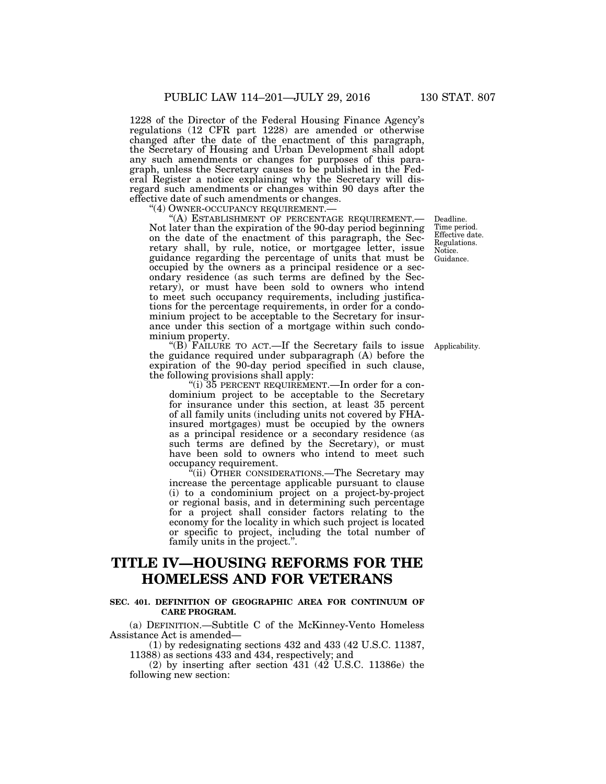1228 of the Director of the Federal Housing Finance Agency's regulations (12 CFR part 1228) are amended or otherwise changed after the date of the enactment of this paragraph, the Secretary of Housing and Urban Development shall adopt any such amendments or changes for purposes of this paragraph, unless the Secretary causes to be published in the Federal Register a notice explaining why the Secretary will disregard such amendments or changes within 90 days after the effective date of such amendments or changes.<br>
"(4) OWNER-OCCUPANCY REQUIREMENT.

"(A) ESTABLISHMENT OF PERCENTAGE REQUIREMENT.— Not later than the expiration of the 90-day period beginning on the date of the enactment of this paragraph, the Secretary shall, by rule, notice, or mortgagee letter, issue guidance regarding the percentage of units that must be occupied by the owners as a principal residence or a secondary residence (as such terms are defined by the Secretary), or must have been sold to owners who intend to meet such occupancy requirements, including justifications for the percentage requirements, in order for a condominium project to be acceptable to the Secretary for insurance under this section of a mortgage within such condominium property.

''(B) FAILURE TO ACT.—If the Secretary fails to issue the guidance required under subparagraph (A) before the expiration of the 90-day period specified in such clause, the following provisions shall apply:

''(i) 35 PERCENT REQUIREMENT.—In order for a condominium project to be acceptable to the Secretary for insurance under this section, at least 35 percent of all family units (including units not covered by FHAinsured mortgages) must be occupied by the owners as a principal residence or a secondary residence (as such terms are defined by the Secretary), or must have been sold to owners who intend to meet such occupancy requirement.

''(ii) OTHER CONSIDERATIONS.—The Secretary may increase the percentage applicable pursuant to clause (i) to a condominium project on a project-by-project or regional basis, and in determining such percentage for a project shall consider factors relating to the economy for the locality in which such project is located or specific to project, including the total number of family units in the project.''.

# **TITLE IV—HOUSING REFORMS FOR THE HOMELESS AND FOR VETERANS**

### **SEC. 401. DEFINITION OF GEOGRAPHIC AREA FOR CONTINUUM OF CARE PROGRAM.**

(a) DEFINITION.—Subtitle C of the McKinney-Vento Homeless Assistance Act is amended—

(1) by redesignating sections 432 and 433 (42 U.S.C. 11387, 11388) as sections 433 and 434, respectively; and

(2) by inserting after section 431 (42 U.S.C. 11386e) the following new section:

Deadline. Time period. Effective date. Regulations. Notice. Guidance.

Applicability.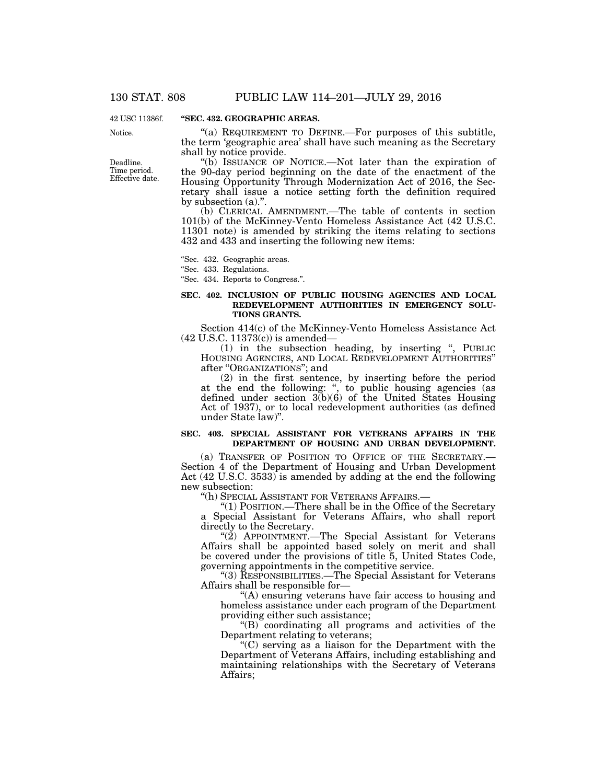42 USC 11386f.

Notice.

Deadline. Time period. Effective date.

### **''SEC. 432. GEOGRAPHIC AREAS.**

"(a) REQUIREMENT TO DEFINE.—For purposes of this subtitle, the term 'geographic area' shall have such meaning as the Secretary shall by notice provide.

''(b) ISSUANCE OF NOTICE.—Not later than the expiration of the 90-day period beginning on the date of the enactment of the Housing Opportunity Through Modernization Act of 2016, the Secretary shall issue a notice setting forth the definition required by subsection (a).''.

(b) CLERICAL AMENDMENT.—The table of contents in section 101(b) of the McKinney-Vento Homeless Assistance Act (42 U.S.C. 11301 note) is amended by striking the items relating to sections 432 and 433 and inserting the following new items:

''Sec. 432. Geographic areas.

''Sec. 433. Regulations.

''Sec. 434. Reports to Congress.''.

### **SEC. 402. INCLUSION OF PUBLIC HOUSING AGENCIES AND LOCAL REDEVELOPMENT AUTHORITIES IN EMERGENCY SOLU-TIONS GRANTS.**

Section 414(c) of the McKinney-Vento Homeless Assistance Act (42 U.S.C. 11373(c)) is amended—

(1) in the subsection heading, by inserting '', PUBLIC HOUSING AGENCIES, AND LOCAL REDEVELOPMENT AUTHORITIES'' after ''ORGANIZATIONS''; and

(2) in the first sentence, by inserting before the period at the end the following: ", to public housing agencies (as defined under section 3(b)(6) of the United States Housing Act of 1937), or to local redevelopment authorities (as defined under State law)''.

### **SEC. 403. SPECIAL ASSISTANT FOR VETERANS AFFAIRS IN THE DEPARTMENT OF HOUSING AND URBAN DEVELOPMENT.**

(a) TRANSFER OF POSITION TO OFFICE OF THE SECRETARY.— Section 4 of the Department of Housing and Urban Development Act (42 U.S.C. 3533) is amended by adding at the end the following new subsection:

''(h) SPECIAL ASSISTANT FOR VETERANS AFFAIRS.—

''(1) POSITION.—There shall be in the Office of the Secretary a Special Assistant for Veterans Affairs, who shall report directly to the Secretary.

" $(2)$  APPOINTMENT.—The Special Assistant for Veterans Affairs shall be appointed based solely on merit and shall be covered under the provisions of title 5, United States Code, governing appointments in the competitive service.

''(3) RESPONSIBILITIES.—The Special Assistant for Veterans Affairs shall be responsible for—

''(A) ensuring veterans have fair access to housing and homeless assistance under each program of the Department providing either such assistance;

"(B) coordinating all programs and activities of the Department relating to veterans;

 $C$ ) serving as a liaison for the Department with the Department of Veterans Affairs, including establishing and maintaining relationships with the Secretary of Veterans Affairs;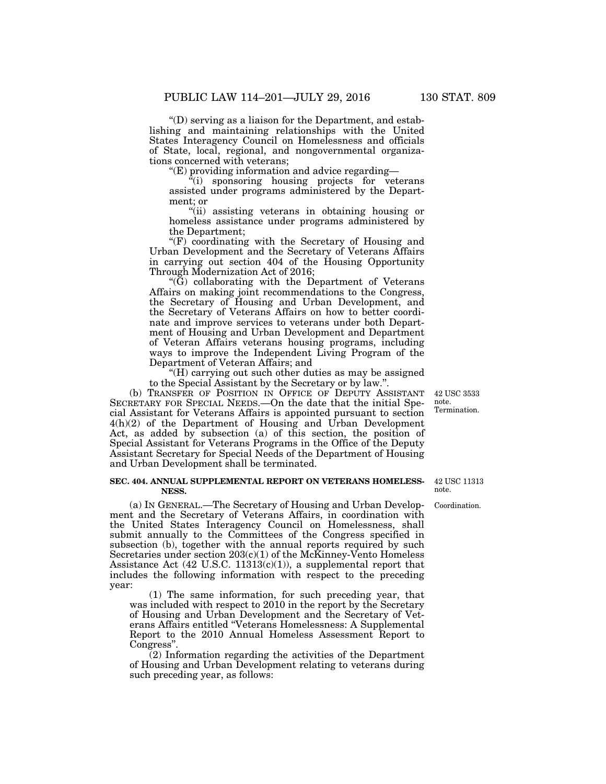$\mathrm{``(D)}$  serving as a liaison for the Department, and establishing and maintaining relationships with the United States Interagency Council on Homelessness and officials of State, local, regional, and nongovernmental organizations concerned with veterans;

''(E) providing information and advice regarding—

 $\frac{d}{dx}$ (i) sponsoring housing projects for veterans assisted under programs administered by the Department; or

''(ii) assisting veterans in obtaining housing or homeless assistance under programs administered by the Department;

 $\mathcal{F}(F)$  coordinating with the Secretary of Housing and Urban Development and the Secretary of Veterans Affairs in carrying out section 404 of the Housing Opportunity Through Modernization Act of 2016;

 $\mathcal{F}(\tilde{G})$  collaborating with the Department of Veterans Affairs on making joint recommendations to the Congress, the Secretary of Housing and Urban Development, and the Secretary of Veterans Affairs on how to better coordinate and improve services to veterans under both Department of Housing and Urban Development and Department of Veteran Affairs veterans housing programs, including ways to improve the Independent Living Program of the Department of Veteran Affairs; and

''(H) carrying out such other duties as may be assigned to the Special Assistant by the Secretary or by law.''.

(b) TRANSFER OF POSITION IN OFFICE OF DEPUTY ASSISTANT SECRETARY FOR SPECIAL NEEDS.—On the date that the initial Special Assistant for Veterans Affairs is appointed pursuant to section 4(h)(2) of the Department of Housing and Urban Development Act, as added by subsection (a) of this section, the position of Special Assistant for Veterans Programs in the Office of the Deputy Assistant Secretary for Special Needs of the Department of Housing and Urban Development shall be terminated.

### **SEC. 404. ANNUAL SUPPLEMENTAL REPORT ON VETERANS HOMELESS-NESS.**

(a) IN GENERAL.—The Secretary of Housing and Urban Development and the Secretary of Veterans Affairs, in coordination with the United States Interagency Council on Homelessness, shall submit annually to the Committees of the Congress specified in subsection (b), together with the annual reports required by such Secretaries under section  $203(c)(1)$  of the McKinney-Vento Homeless Assistance Act (42 U.S.C. 11313(c)(1)), a supplemental report that includes the following information with respect to the preceding year:

(1) The same information, for such preceding year, that was included with respect to 2010 in the report by the Secretary of Housing and Urban Development and the Secretary of Veterans Affairs entitled ''Veterans Homelessness: A Supplemental Report to the 2010 Annual Homeless Assessment Report to Congress"

(2) Information regarding the activities of the Department of Housing and Urban Development relating to veterans during such preceding year, as follows:

42 USC 11313 note.

Coordination.

42 USC 3533 note. Termination.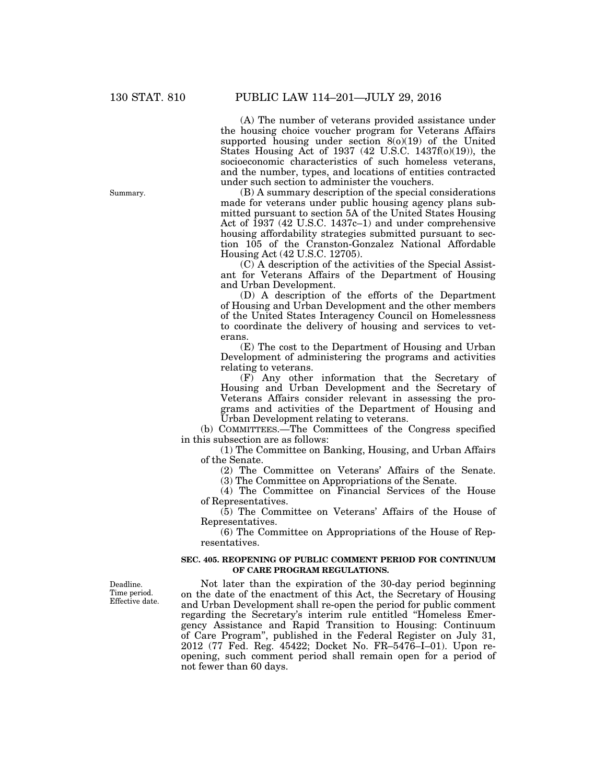(A) The number of veterans provided assistance under the housing choice voucher program for Veterans Affairs supported housing under section 8(o)(19) of the United States Housing Act of 1937 (42 U.S.C. 1437f(o)(19)), the socioeconomic characteristics of such homeless veterans, and the number, types, and locations of entities contracted under such section to administer the vouchers.

(B) A summary description of the special considerations made for veterans under public housing agency plans submitted pursuant to section 5A of the United States Housing Act of 1937 (42 U.S.C. 1437c–1) and under comprehensive housing affordability strategies submitted pursuant to section 105 of the Cranston-Gonzalez National Affordable Housing Act (42 U.S.C. 12705).

(C) A description of the activities of the Special Assistant for Veterans Affairs of the Department of Housing and Urban Development.

(D) A description of the efforts of the Department of Housing and Urban Development and the other members of the United States Interagency Council on Homelessness to coordinate the delivery of housing and services to veterans.

(E) The cost to the Department of Housing and Urban Development of administering the programs and activities relating to veterans.

(F) Any other information that the Secretary of Housing and Urban Development and the Secretary of Veterans Affairs consider relevant in assessing the programs and activities of the Department of Housing and Urban Development relating to veterans.

(b) COMMITTEES.—The Committees of the Congress specified in this subsection are as follows:

(1) The Committee on Banking, Housing, and Urban Affairs of the Senate.

(2) The Committee on Veterans' Affairs of the Senate.

(3) The Committee on Appropriations of the Senate.

(4) The Committee on Financial Services of the House of Representatives.

(5) The Committee on Veterans' Affairs of the House of Representatives.

(6) The Committee on Appropriations of the House of Representatives.

### **SEC. 405. REOPENING OF PUBLIC COMMENT PERIOD FOR CONTINUUM OF CARE PROGRAM REGULATIONS.**

Deadline. Time period. Effective date.

Not later than the expiration of the 30-day period beginning on the date of the enactment of this Act, the Secretary of Housing and Urban Development shall re-open the period for public comment regarding the Secretary's interim rule entitled ''Homeless Emergency Assistance and Rapid Transition to Housing: Continuum of Care Program'', published in the Federal Register on July 31, 2012 (77 Fed. Reg. 45422; Docket No. FR–5476–I–01). Upon reopening, such comment period shall remain open for a period of not fewer than 60 days.

Summary.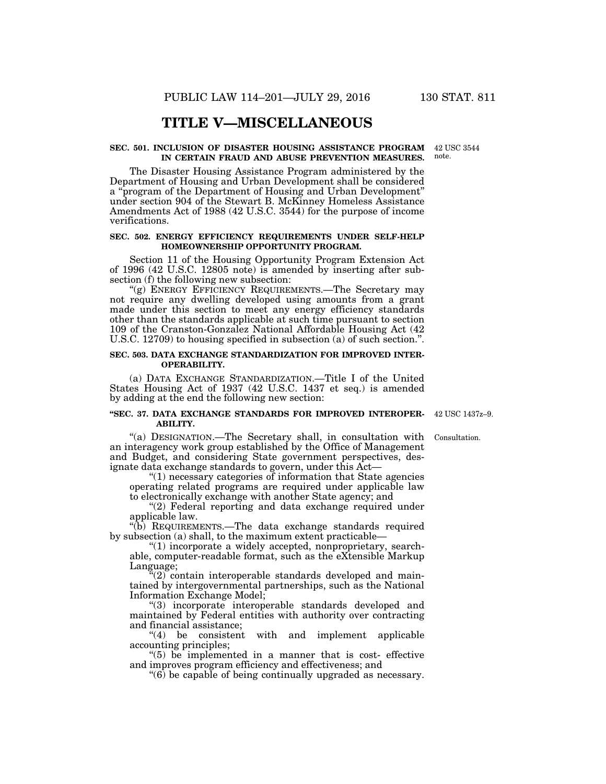### **TITLE V—MISCELLANEOUS**

#### **SEC. 501. INCLUSION OF DISASTER HOUSING ASSISTANCE PROGRAM**  42 USC 3544 **IN CERTAIN FRAUD AND ABUSE PREVENTION MEASURES.**

The Disaster Housing Assistance Program administered by the Department of Housing and Urban Development shall be considered a ''program of the Department of Housing and Urban Development'' under section 904 of the Stewart B. McKinney Homeless Assistance Amendments Act of 1988 (42 U.S.C. 3544) for the purpose of income verifications.

### **SEC. 502. ENERGY EFFICIENCY REQUIREMENTS UNDER SELF-HELP HOMEOWNERSHIP OPPORTUNITY PROGRAM.**

Section 11 of the Housing Opportunity Program Extension Act of 1996 (42 U.S.C. 12805 note) is amended by inserting after subsection (f) the following new subsection:

"(g) ENERGY EFFICIENCY REQUIREMENTS.—The Secretary may not require any dwelling developed using amounts from a grant made under this section to meet any energy efficiency standards other than the standards applicable at such time pursuant to section 109 of the Cranston-Gonzalez National Affordable Housing Act (42 U.S.C. 12709) to housing specified in subsection (a) of such section.''.

### **SEC. 503. DATA EXCHANGE STANDARDIZATION FOR IMPROVED INTER-OPERABILITY.**

(a) DATA EXCHANGE STANDARDIZATION.—Title I of the United States Housing Act of 1937 (42 U.S.C. 1437 et seq.) is amended by adding at the end the following new section:

### **''SEC. 37. DATA EXCHANGE STANDARDS FOR IMPROVED INTEROPER-**42 USC 1437z–9. **ABILITY.**

''(a) DESIGNATION.—The Secretary shall, in consultation with an interagency work group established by the Office of Management and Budget, and considering State government perspectives, designate data exchange standards to govern, under this Act—

''(1) necessary categories of information that State agencies operating related programs are required under applicable law to electronically exchange with another State agency; and

"(2) Federal reporting and data exchange required under applicable law.

''(b) REQUIREMENTS.—The data exchange standards required by subsection (a) shall, to the maximum extent practicable—

''(1) incorporate a widely accepted, nonproprietary, searchable, computer-readable format, such as the eXtensible Markup Language;

 $\mathcal{L}(2)$  contain interoperable standards developed and maintained by intergovernmental partnerships, such as the National Information Exchange Model;

''(3) incorporate interoperable standards developed and maintained by Federal entities with authority over contracting and financial assistance;

''(4) be consistent with and implement applicable accounting principles;

 $(5)$  be implemented in a manner that is cost- effective and improves program efficiency and effectiveness; and

 $\degree$ (6) be capable of being continually upgraded as necessary.

Consultation.

note.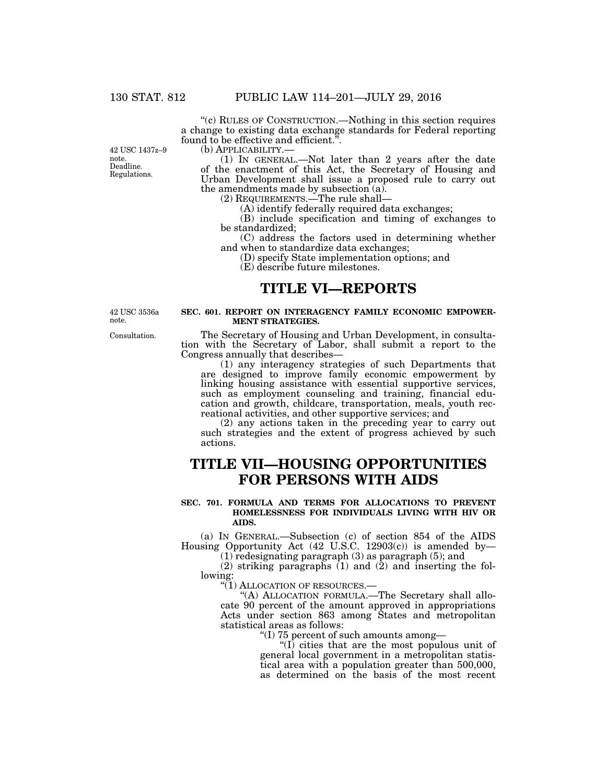''(c) RULES OF CONSTRUCTION.—Nothing in this section requires a change to existing data exchange standards for Federal reporting found to be effective and efficient.''.

42 USC 1437z–9 note. Deadline. Regulations.

(b) APPLICABILITY.—<br>(1) IN GENERAL.—Not later than 2 years after the date of the enactment of this Act, the Secretary of Housing and Urban Development shall issue a proposed rule to carry out the amendments made by subsection (a).

(2) REQUIREMENTS.—The rule shall—

(A) identify federally required data exchanges;

(B) include specification and timing of exchanges to be standardized;

(C) address the factors used in determining whether and when to standardize data exchanges;

(D) specify State implementation options; and

(E) describe future milestones.

### **TITLE VI—REPORTS**

42 USC 3536a note.

### **SEC. 601. REPORT ON INTERAGENCY FAMILY ECONOMIC EMPOWER-MENT STRATEGIES.**

The Secretary of Housing and Urban Development, in consultation with the Secretary of Labor, shall submit a report to the Congress annually that describes—

(1) any interagency strategies of such Departments that are designed to improve family economic empowerment by linking housing assistance with essential supportive services, such as employment counseling and training, financial education and growth, childcare, transportation, meals, youth recreational activities, and other supportive services; and

(2) any actions taken in the preceding year to carry out such strategies and the extent of progress achieved by such actions.

# **TITLE VII—HOUSING OPPORTUNITIES FOR PERSONS WITH AIDS**

### **SEC. 701. FORMULA AND TERMS FOR ALLOCATIONS TO PREVENT HOMELESSNESS FOR INDIVIDUALS LIVING WITH HIV OR AIDS.**

(a) IN GENERAL.—Subsection (c) of section 854 of the AIDS Housing Opportunity Act (42 U.S.C. 12903(c)) is amended by—

(1) redesignating paragraph (3) as paragraph (5); and

 $(2)$  striking paragraphs  $(1)$  and  $(2)$  and inserting the following:

''(1) ALLOCATION OF RESOURCES.—

''(A) ALLOCATION FORMULA.—The Secretary shall allocate 90 percent of the amount approved in appropriations Acts under section 863 among States and metropolitan statistical areas as follows:

''(I) 75 percent of such amounts among—

''(I) cities that are the most populous unit of general local government in a metropolitan statistical area with a population greater than 500,000, as determined on the basis of the most recent

Consultation.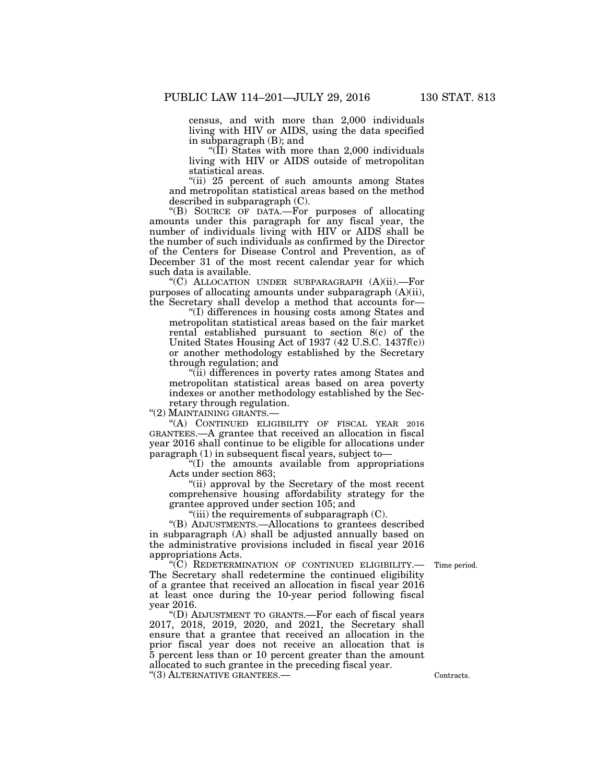census, and with more than 2,000 individuals living with HIV or AIDS, using the data specified in subparagraph (B); and

"( $\overline{II}$ ) States with more than 2,000 individuals living with HIV or AIDS outside of metropolitan statistical areas.

''(ii) 25 percent of such amounts among States and metropolitan statistical areas based on the method described in subparagraph (C).

''(B) SOURCE OF DATA.—For purposes of allocating amounts under this paragraph for any fiscal year, the number of individuals living with HIV or AIDS shall be the number of such individuals as confirmed by the Director of the Centers for Disease Control and Prevention, as of December 31 of the most recent calendar year for which such data is available.

''(C) ALLOCATION UNDER SUBPARAGRAPH (A)(ii).—For purposes of allocating amounts under subparagraph (A)(ii), the Secretary shall develop a method that accounts for—

''(I) differences in housing costs among States and metropolitan statistical areas based on the fair market rental established pursuant to section 8(c) of the United States Housing Act of 1937 (42 U.S.C. 1437f(c)) or another methodology established by the Secretary through regulation; and

''(ii) differences in poverty rates among States and metropolitan statistical areas based on area poverty indexes or another methodology established by the Secretary through regulation.

''(2) MAINTAINING GRANTS.—

''(A) CONTINUED ELIGIBILITY OF FISCAL YEAR 2016 GRANTEES.—A grantee that received an allocation in fiscal year 2016 shall continue to be eligible for allocations under paragraph (1) in subsequent fiscal years, subject to—

''(I) the amounts available from appropriations Acts under section 863;

''(ii) approval by the Secretary of the most recent comprehensive housing affordability strategy for the grantee approved under section 105; and

"(iii) the requirements of subparagraph  $(C)$ .

''(B) ADJUSTMENTS.—Allocations to grantees described in subparagraph (A) shall be adjusted annually based on the administrative provisions included in fiscal year 2016 appropriations Acts.

Time period.

''(C) REDETERMINATION OF CONTINUED ELIGIBILITY.— The Secretary shall redetermine the continued eligibility of a grantee that received an allocation in fiscal year 2016 at least once during the 10-year period following fiscal year 2016.

''(D) ADJUSTMENT TO GRANTS.—For each of fiscal years 2017, 2018, 2019, 2020, and 2021, the Secretary shall ensure that a grantee that received an allocation in the prior fiscal year does not receive an allocation that is 5 percent less than or 10 percent greater than the amount allocated to such grantee in the preceding fiscal year. "(3) ALTERNATIVE GRANTEES.— Contracts.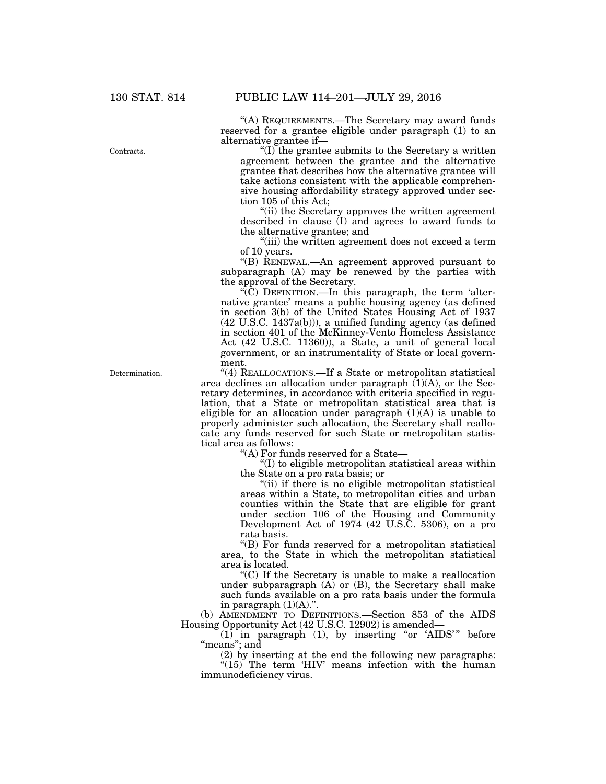''(A) REQUIREMENTS.—The Secretary may award funds reserved for a grantee eligible under paragraph (1) to an alternative grantee if—

 $\mathrm{``(I)}$  the grantee submits to the Secretary a written agreement between the grantee and the alternative grantee that describes how the alternative grantee will take actions consistent with the applicable comprehensive housing affordability strategy approved under section 105 of this Act;

''(ii) the Secretary approves the written agreement described in clause (I) and agrees to award funds to the alternative grantee; and

''(iii) the written agreement does not exceed a term of 10 years.

''(B) RENEWAL.—An agreement approved pursuant to subparagraph (A) may be renewed by the parties with the approval of the Secretary.

 $\sqrt{\rm C}$ ) DEFINITION.—In this paragraph, the term 'alternative grantee' means a public housing agency (as defined in section 3(b) of the United States Housing Act of 1937 (42 U.S.C. 1437a(b))), a unified funding agency (as defined in section 401 of the McKinney-Vento Homeless Assistance Act (42 U.S.C. 11360)), a State, a unit of general local government, or an instrumentality of State or local government.

''(4) REALLOCATIONS.—If a State or metropolitan statistical area declines an allocation under paragraph  $(1)(A)$ , or the Secretary determines, in accordance with criteria specified in regulation, that a State or metropolitan statistical area that is eligible for an allocation under paragraph (1)(A) is unable to properly administer such allocation, the Secretary shall reallocate any funds reserved for such State or metropolitan statistical area as follows:

''(A) For funds reserved for a State—

''(I) to eligible metropolitan statistical areas within the State on a pro rata basis; or

"(ii) if there is no eligible metropolitan statistical areas within a State, to metropolitan cities and urban counties within the State that are eligible for grant under section 106 of the Housing and Community Development Act of 1974 (42 U.S.C. 5306), on a pro rata basis.

''(B) For funds reserved for a metropolitan statistical area, to the State in which the metropolitan statistical area is located.

''(C) If the Secretary is unable to make a reallocation under subparagraph  $(A)$  or  $(B)$ , the Secretary shall make such funds available on a pro rata basis under the formula in paragraph  $(1)(A)$ ."

(b) AMENDMENT TO DEFINITIONS.—Section 853 of the AIDS Housing Opportunity Act (42 U.S.C. 12902) is amended—

 $(1)$  in paragraph  $(1)$ , by inserting "or 'AIDS'" before "means"; and

(2) by inserting at the end the following new paragraphs: " $(15)$  The term 'HIV' means infection with the human immunodeficiency virus.

Contracts.

Determination.